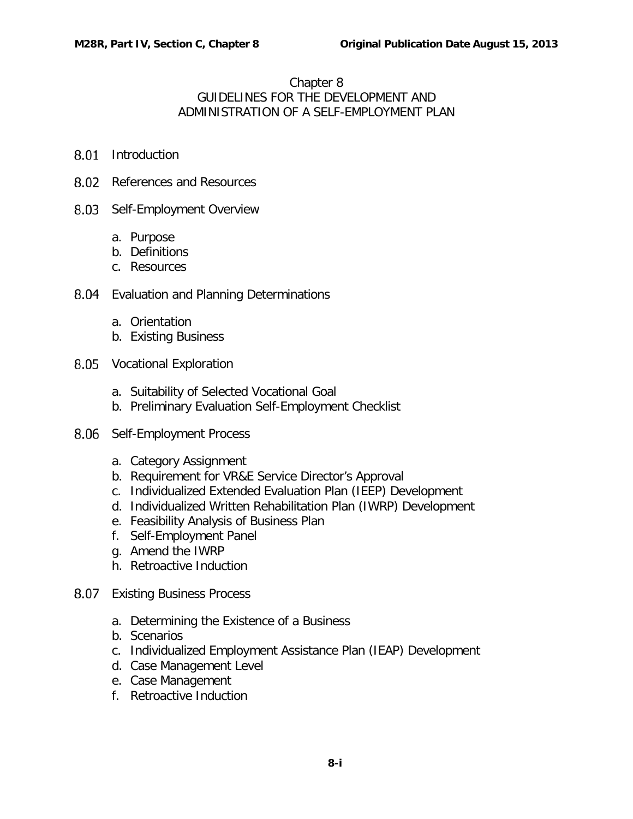## Chapter 8 GUIDELINES FOR THE DEVELOPMENT AND ADMINISTRATION OF A SELF-EMPLOYMENT PLAN

- 8.01 [Introduction](#page-2-0)
- 8.02 [References and Resources](#page-2-1)
- 8.03 [Self-Employment Overview](#page-3-0)
	- a. [Purpose](#page-3-1)
	- b. [Definitions](#page-3-2)
	- c. [Resources](#page-7-0)
- 8.04 [Evaluation and Planning Determinations](#page-8-0)
	- a. [Orientation](#page-8-1)
	- b. [Existing Business](#page-9-0)
- 8.05 [Vocational Exploration](#page-9-1)
	- a. [Suitability of Selected Vocational Goal](#page-10-0)
	- b. [Preliminary Evaluation Self-Employment Checklist](#page-10-1)
- 8.06 [Self-Employment Process](#page-11-0)
	- a. [Category Assignment](#page-11-1)
	- b. [Requirement for VR&E Service Director's Approval](#page-13-0)
	- c. [Individualized Extended Evaluation Plan \(IEEP\) Development](#page-14-0)
	- d. [Individualized Written Rehabilitation Plan \(IWRP\) Development](#page-15-0)
	- e. [Feasibility Analysis of Business Plan](#page-18-0)
	- f. [Self-Employment Panel](#page-21-0)
	- g. [Amend the IWRP](#page-23-0)
	- h. [Retroactive Induction](#page-30-0)
- 8.07 [Existing Business Process](#page-31-0)
	- a. [Determining the Existence of a Business](#page-31-1)
	- b. [Scenarios](#page-31-2)
	- c. [Individualized Employment Assistance Plan \(IEAP\) Development](#page-34-0)
	- d. [Case Management Level](#page-35-0)
	- e. [Case Management](#page-35-1)
	- f. [Retroactive Induction](#page-36-0)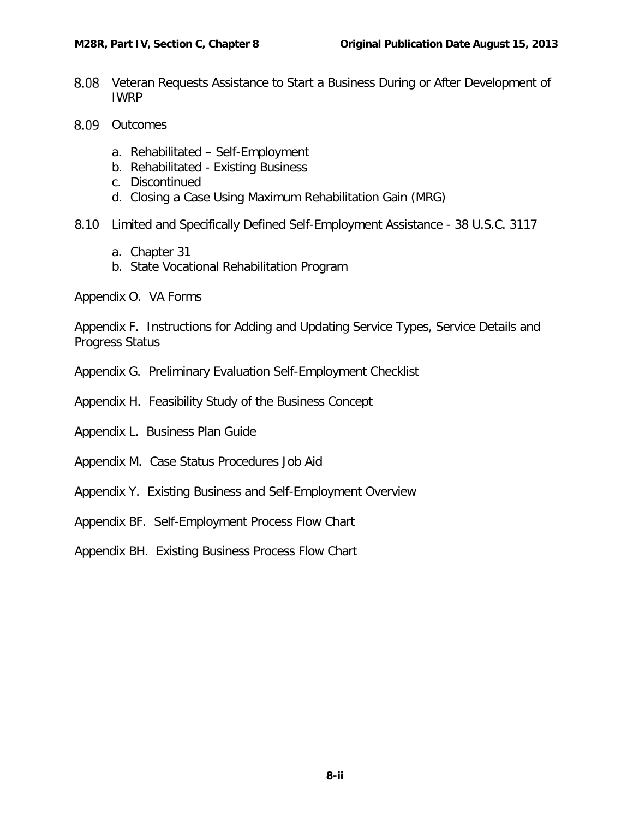- $8.08$ [Veteran Requests Assistance to Start a Business During or After Development of](#page-36-1)  [IWRP](#page-36-1)
- 8.09 [Outcomes](#page-36-2)
	- a. Rehabilitated [Self-Employment](#page-36-3)
	- b. Rehabilitated [Existing Business](#page-39-0)
	- c. [Discontinued](#page-39-1)
	- d. [Closing a Case Using Maximum Rehabilitation Gain \(MRG\)](#page-40-0)
- 8.10 [Limited and Specifically Defined Self-Employment Assistance -](#page-40-1) 38 U.S.C. 3117
	- a. [Chapter 31](#page-40-2)
	- b. [State Vocational Rehabilitation Program](#page-41-0)
- Appendix O. VA Forms

Appendix F. Instructions for Adding and Updating Service Types, Service Details and Progress Status

- Appendix G. Preliminary Evaluation Self-Employment Checklist
- Appendix H. Feasibility Study of the Business Concept
- Appendix L. Business Plan Guide
- Appendix M. Case Status Procedures Job Aid
- Appendix Y. Existing Business and Self-Employment Overview
- Appendix BF. Self-Employment Process Flow Chart
- Appendix BH. Existing Business Process Flow Chart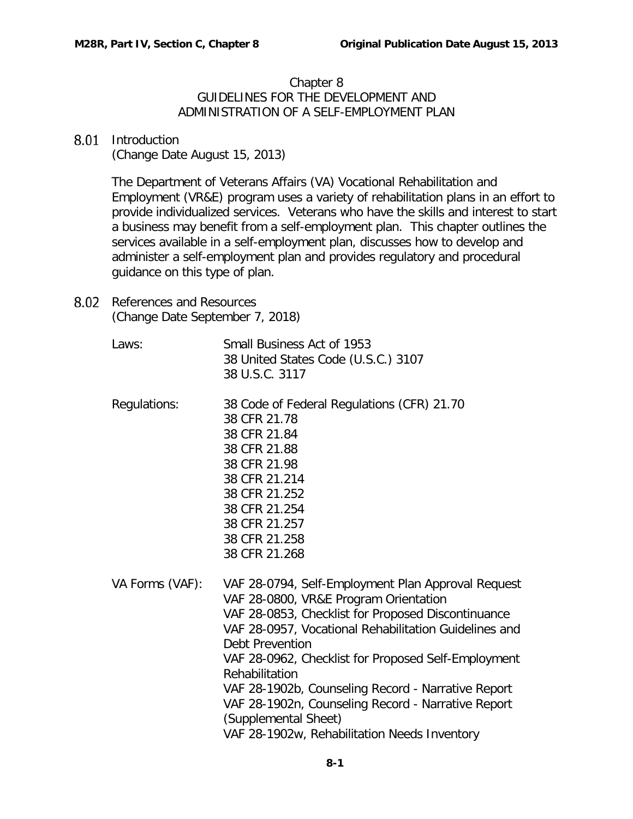## Chapter 8 GUIDELINES FOR THE DEVELOPMENT AND ADMINISTRATION OF A SELF-EMPLOYMENT PLAN

## <span id="page-2-0"></span>8.01 Introduction

(Change Date August 15, 2013)

The Department of Veterans Affairs (VA) Vocational Rehabilitation and Employment (VR&E) program uses a variety of rehabilitation plans in an effort to provide individualized services. Veterans who have the skills and interest to start a business may benefit from a self-employment plan. This chapter outlines the services available in a self-employment plan, discusses how to develop and administer a self-employment plan and provides regulatory and procedural guidance on this type of plan.

- <span id="page-2-1"></span>8.02 References and Resources (Change Date September 7, 2018)
	- Laws: Small Business Act of 1953 38 United States Code (U.S.C.) 3107 38 U.S.C. 3117
	- Regulations: 38 Code of Federal Regulations (CFR) 21.70 38 CFR 21.78 38 CFR 21.84 38 CFR 21.88 38 CFR 21.98 38 CFR 21.214 38 CFR 21.252 38 CFR 21.254 38 CFR 21.257 38 CFR 21.258 38 CFR 21.268
	- VA Forms (VAF): VAF 28-0794, Self-Employment Plan Approval Request VAF 28-0800, VR&E Program Orientation VAF 28-0853, Checklist for Proposed Discontinuance VAF 28-0957, Vocational Rehabilitation Guidelines and Debt Prevention VAF 28-0962, Checklist for Proposed Self-Employment Rehabilitation VAF 28-1902b, Counseling Record - Narrative Report VAF 28-1902n, Counseling Record - Narrative Report (Supplemental Sheet) VAF 28-1902w, Rehabilitation Needs Inventory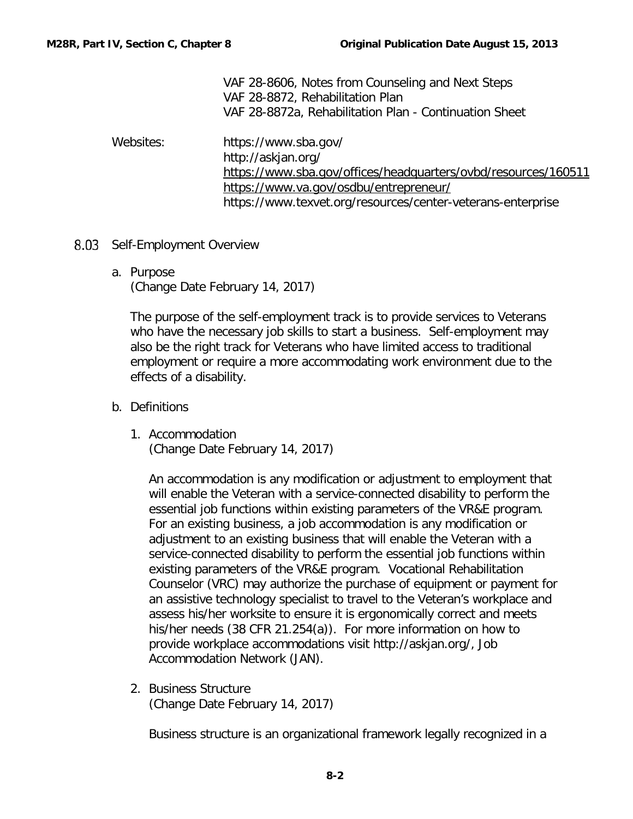|           | VAF 28-8606, Notes from Counseling and Next Steps              |
|-----------|----------------------------------------------------------------|
|           | VAF 28-8872, Rehabilitation Plan                               |
|           | VAF 28-8872a, Rehabilitation Plan - Continuation Sheet         |
| Websites: | https://www.sba.gov/                                           |
|           | http://askjan.org/                                             |
|           | https://www.sba.gov/offices/headquarters/ovbd/resources/160511 |
|           | https://www.va.gov/osdbu/entrepreneur/                         |
|           | https://www.texvet.org/resources/center-veterans-enterprise    |

- <span id="page-3-1"></span><span id="page-3-0"></span>8.03 Self-Employment Overview
	- a. Purpose (Change Date February 14, 2017)

The purpose of the self-employment track is to provide services to Veterans who have the necessary job skills to start a business. Self-employment may also be the right track for Veterans who have limited access to traditional employment or require a more accommodating work environment due to the effects of a disability.

- <span id="page-3-2"></span>b. Definitions
	- 1. Accommodation (Change Date February 14, 2017)

An accommodation is any modification or adjustment to employment that will enable the Veteran with a service-connected disability to perform the essential job functions within existing parameters of the VR&E program. For an existing business, a job accommodation is any modification or adjustment to an existing business that will enable the Veteran with a service-connected disability to perform the essential job functions within existing parameters of the VR&E program. Vocational Rehabilitation Counselor (VRC) may authorize the purchase of equipment or payment for an assistive technology specialist to travel to the Veteran's workplace and assess his/her worksite to ensure it is ergonomically correct and meets his/her needs (38 CFR 21.254(a)). For more information on how to provide workplace accommodations visit http://askjan.org/, Job Accommodation Network (JAN).

2. Business Structure (Change Date February 14, 2017)

Business structure is an organizational framework legally recognized in a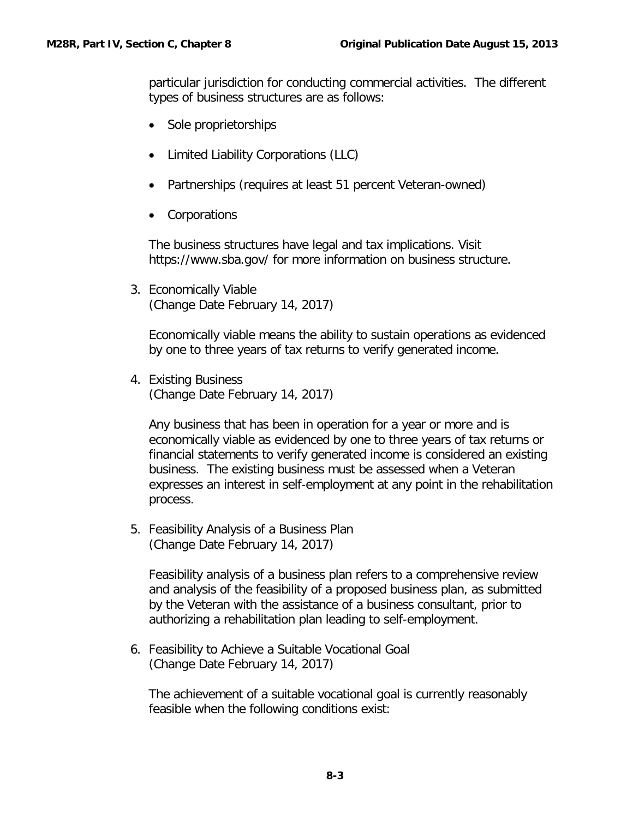particular jurisdiction for conducting commercial activities. The different types of business structures are as follows:

- Sole proprietorships
- Limited Liability Corporations (LLC)
- Partnerships (requires at least 51 percent Veteran-owned)
- Corporations

The business structures have legal and tax implications. Visit https://www.sba.gov/ for more information on business structure.

3. Economically Viable (Change Date February 14, 2017)

Economically viable means the ability to sustain operations as evidenced by one to three years of tax returns to verify generated income.

4. Existing Business (Change Date February 14, 2017)

Any business that has been in operation for a year or more and is economically viable as evidenced by one to three years of tax returns or financial statements to verify generated income is considered an existing business. The existing business must be assessed when a Veteran expresses an interest in self-employment at any point in the rehabilitation process.

5. Feasibility Analysis of a Business Plan (Change Date February 14, 2017)

Feasibility analysis of a business plan refers to a comprehensive review and analysis of the feasibility of a proposed business plan, as submitted by the Veteran with the assistance of a business consultant, prior to authorizing a rehabilitation plan leading to self-employment.

6. Feasibility to Achieve a Suitable Vocational Goal (Change Date February 14, 2017)

The achievement of a suitable vocational goal is currently reasonably feasible when the following conditions exist: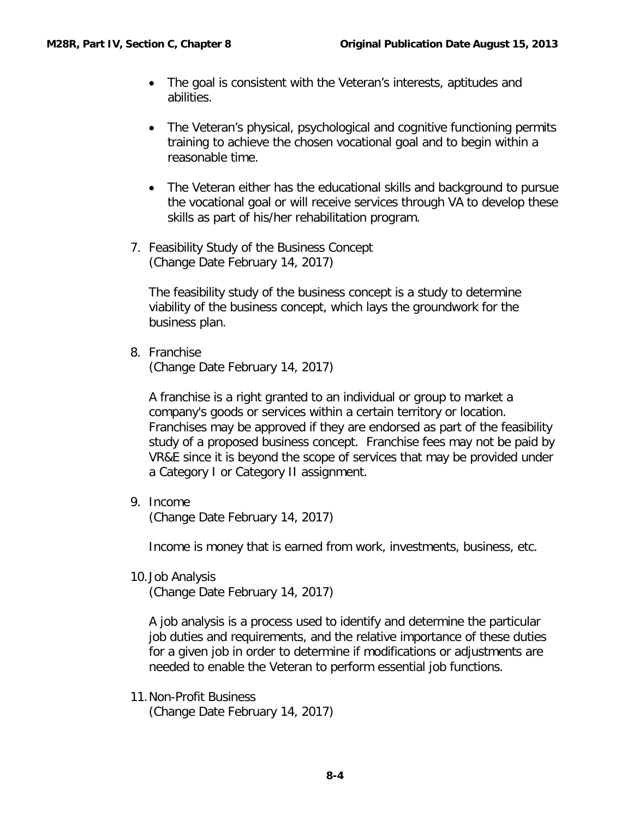- The goal is consistent with the Veteran's interests, aptitudes and abilities.
- The Veteran's physical, psychological and cognitive functioning permits training to achieve the chosen vocational goal and to begin within a reasonable time.
- The Veteran either has the educational skills and background to pursue the vocational goal or will receive services through VA to develop these skills as part of his/her rehabilitation program.
- 7. Feasibility Study of the Business Concept (Change Date February 14, 2017)

The feasibility study of the business concept is a study to determine viability of the business concept, which lays the groundwork for the business plan.

8. Franchise (Change Date February 14, 2017)

A franchise is a right granted to an individual or group to market a company's goods or services within a certain territory or location. Franchises may be approved if they are endorsed as part of the feasibility study of a proposed business concept. Franchise fees may not be paid by VR&E since it is beyond the scope of services that may be provided under a Category I or Category II assignment.

9. Income

(Change Date February 14, 2017)

Income is money that is earned from work, investments, business, etc.

10.Job Analysis

(Change Date February 14, 2017)

A job analysis is a process used to identify and determine the particular job duties and requirements, and the relative importance of these duties for a given job in order to determine if modifications or adjustments are needed to enable the Veteran to perform essential job functions.

11.Non-Profit Business (Change Date February 14, 2017)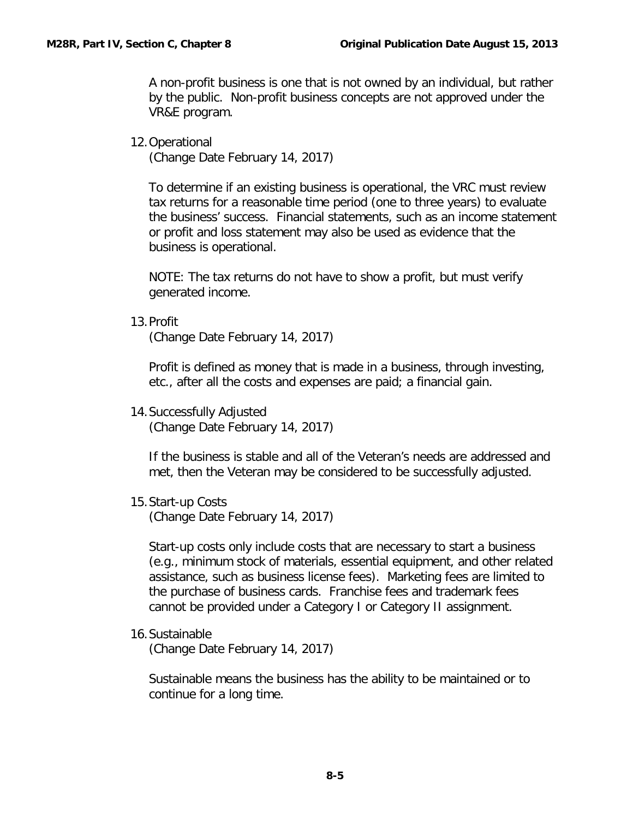A non-profit business is one that is not owned by an individual, but rather by the public. Non-profit business concepts are not approved under the VR&E program.

12.Operational

(Change Date February 14, 2017)

To determine if an existing business is operational, the VRC must review tax returns for a reasonable time period (one to three years) to evaluate the business' success. Financial statements, such as an income statement or profit and loss statement may also be used as evidence that the business is operational.

NOTE: The tax returns do not have to show a profit, but must verify generated income.

13.Profit

(Change Date February 14, 2017)

Profit is defined as money that is made in a business, through investing, etc., after all the costs and expenses are paid; a financial gain.

14.Successfully Adjusted (Change Date February 14, 2017)

If the business is stable and all of the Veteran's needs are addressed and met, then the Veteran may be considered to be successfully adjusted.

15.Start-up Costs

(Change Date February 14, 2017)

Start-up costs only include costs that are necessary to start a business (e.g., minimum stock of materials, essential equipment, and other related assistance, such as business license fees). Marketing fees are limited to the purchase of business cards. Franchise fees and trademark fees cannot be provided under a Category I or Category II assignment.

16.Sustainable

(Change Date February 14, 2017)

Sustainable means the business has the ability to be maintained or to continue for a long time.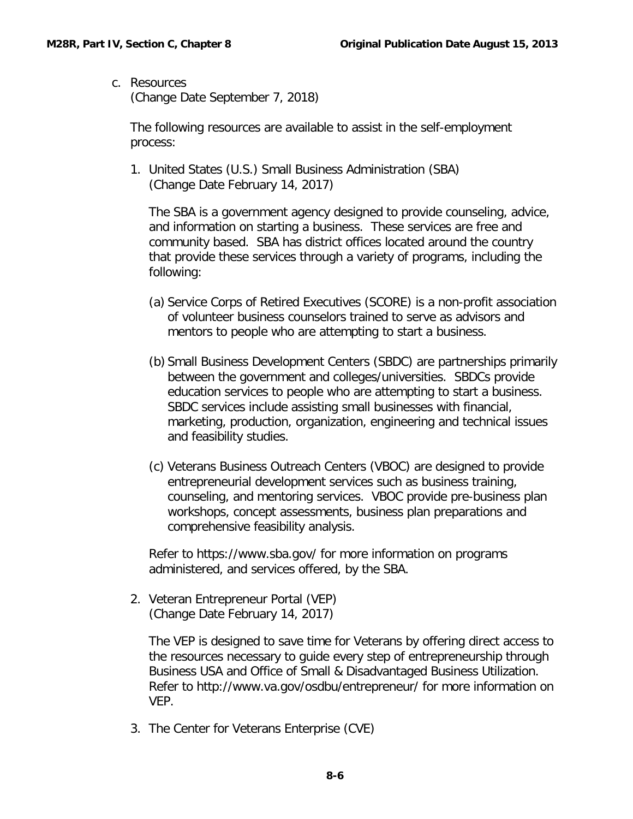<span id="page-7-0"></span>c. Resources (Change Date September 7, 2018)

The following resources are available to assist in the self-employment process:

1. United States (U.S.) Small Business Administration (SBA) (Change Date February 14, 2017)

The SBA is a government agency designed to provide counseling, advice, and information on starting a business. These services are free and community based. SBA has district offices located around the country that provide these services through a variety of programs, including the following:

- (a) Service Corps of Retired Executives (SCORE) is a non-profit association of volunteer business counselors trained to serve as advisors and mentors to people who are attempting to start a business.
- (b) Small Business Development Centers (SBDC) are partnerships primarily between the government and colleges/universities. SBDCs provide education services to people who are attempting to start a business. SBDC services include assisting small businesses with financial, marketing, production, organization, engineering and technical issues and feasibility studies.
- (c) Veterans Business Outreach Centers (VBOC) are designed to provide entrepreneurial development services such as business training, counseling, and mentoring services. VBOC provide pre-business plan workshops, concept assessments, business plan preparations and comprehensive feasibility analysis.

Refer to https://www.sba.gov/ for more information on programs administered, and services offered, by the SBA.

2. Veteran Entrepreneur Portal (VEP) (Change Date February 14, 2017)

The VEP is designed to save time for Veterans by offering direct access to the resources necessary to guide every step of entrepreneurship through Business USA and Office of Small & Disadvantaged Business Utilization. Refer to http://www.va.gov/osdbu/entrepreneur/ for more information on VEP.

3. The Center for Veterans Enterprise (CVE)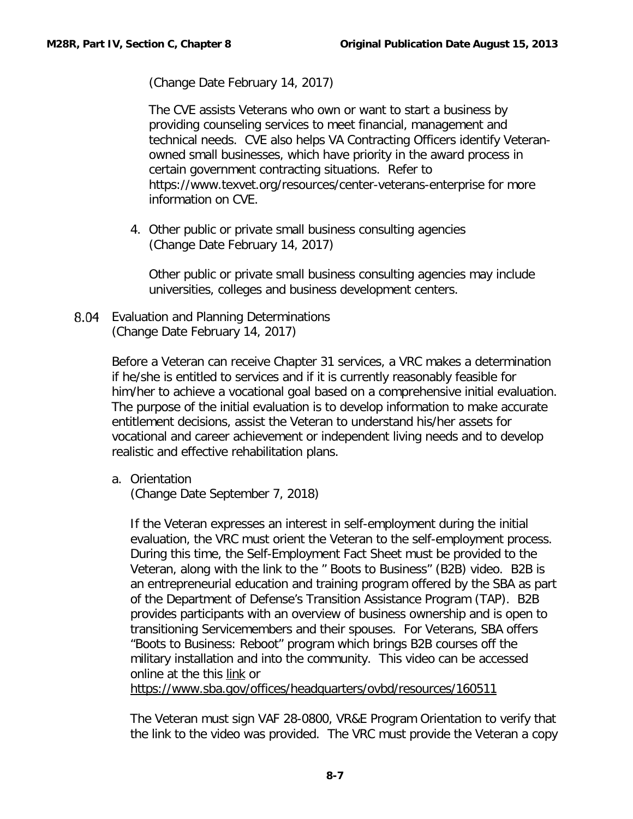(Change Date February 14, 2017)

The CVE assists Veterans who own or want to start a business by providing counseling services to meet financial, management and technical needs. CVE also helps VA Contracting Officers identify Veteranowned small businesses, which have priority in the award process in certain government contracting situations. Refer to https://www.texvet.org/resources/center-veterans-enterprise for more information on CVE.

4. Other public or private small business consulting agencies (Change Date February 14, 2017)

Other public or private small business consulting agencies may include universities, colleges and business development centers.

<span id="page-8-0"></span>8.04 Evaluation and Planning Determinations (Change Date February 14, 2017)

> Before a Veteran can receive Chapter 31 services, a VRC makes a determination if he/she is entitled to services and if it is currently reasonably feasible for him/her to achieve a vocational goal based on a comprehensive initial evaluation. The purpose of the initial evaluation is to develop information to make accurate entitlement decisions, assist the Veteran to understand his/her assets for vocational and career achievement or independent living needs and to develop realistic and effective rehabilitation plans.

<span id="page-8-1"></span>a. Orientation

(Change Date September 7, 2018)

If the Veteran expresses an interest in self-employment during the initial evaluation, the VRC must orient the Veteran to the self-employment process. During this time, the Self-Employment Fact Sheet must be provided to the Veteran, along with the link to the " Boots to Business" (B2B) video. B2B is an entrepreneurial education and training program offered by the SBA as part of the Department of Defense's Transition Assistance Program (TAP). B2B provides participants with an overview of business ownership and is open to transitioning Servicemembers and their spouses. For Veterans, SBA offers "Boots to Business: Reboot" program which brings B2B courses off the military installation and into the community. This video can be accessed online at the this [link](https://www.sba.gov/offices/headquarters/ovbd/resources/160511) or

<https://www.sba.gov/offices/headquarters/ovbd/resources/160511>

The Veteran must sign VAF 28-0800, VR&E Program Orientation to verify that the link to the video was provided. The VRC must provide the Veteran a copy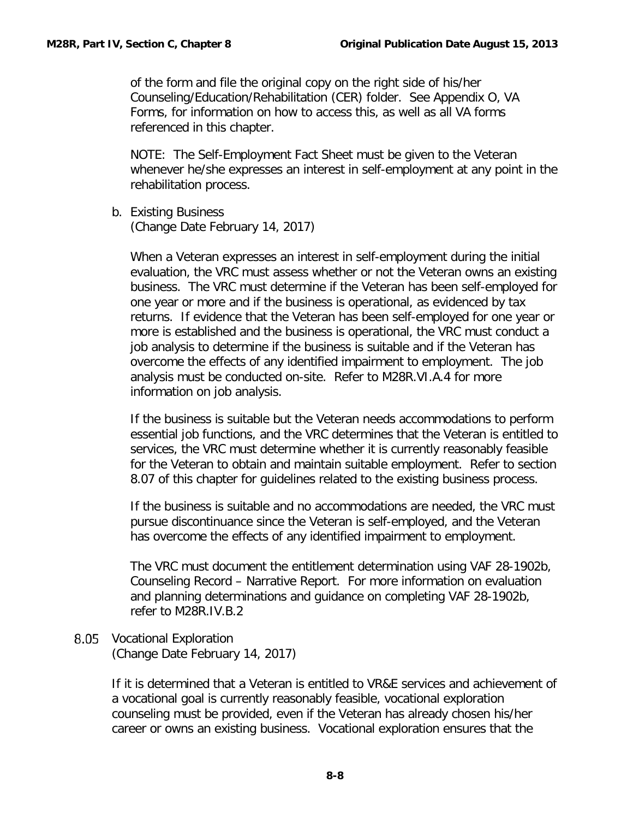of the form and file the original copy on the right side of his/her Counseling/Education/Rehabilitation (CER) folder. See Appendix O, VA Forms, for information on how to access this, as well as all VA forms referenced in this chapter.

NOTE: The Self-Employment Fact Sheet must be given to the Veteran whenever he/she expresses an interest in self-employment at any point in the rehabilitation process.

<span id="page-9-0"></span>b. Existing Business (Change Date February 14, 2017)

When a Veteran expresses an interest in self-employment during the initial evaluation, the VRC must assess whether or not the Veteran owns an existing business. The VRC must determine if the Veteran has been self-employed for one year or more and if the business is operational, as evidenced by tax returns. If evidence that the Veteran has been self-employed for one year or more is established and the business is operational, the VRC must conduct a job analysis to determine if the business is suitable and if the Veteran has overcome the effects of any identified impairment to employment. The job analysis must be conducted on-site. Refer to M28R.VI.A.4 for more information on job analysis.

If the business is suitable but the Veteran needs accommodations to perform essential job functions, and the VRC determines that the Veteran is entitled to services, the VRC must determine whether it is currently reasonably feasible for the Veteran to obtain and maintain suitable employment. Refer to section 8.07 of this chapter for guidelines related to the existing business process.

If the business is suitable and no accommodations are needed, the VRC must pursue discontinuance since the Veteran is self-employed, and the Veteran has overcome the effects of any identified impairment to employment.

The VRC must document the entitlement determination using VAF 28-1902b, Counseling Record – Narrative Report. For more information on evaluation and planning determinations and guidance on completing VAF 28-1902b, refer to M28R.IV.B.2

<span id="page-9-1"></span>8.05 Vocational Exploration (Change Date February 14, 2017)

> If it is determined that a Veteran is entitled to VR&E services and achievement of a vocational goal is currently reasonably feasible, vocational exploration counseling must be provided, even if the Veteran has already chosen his/her career or owns an existing business. Vocational exploration ensures that the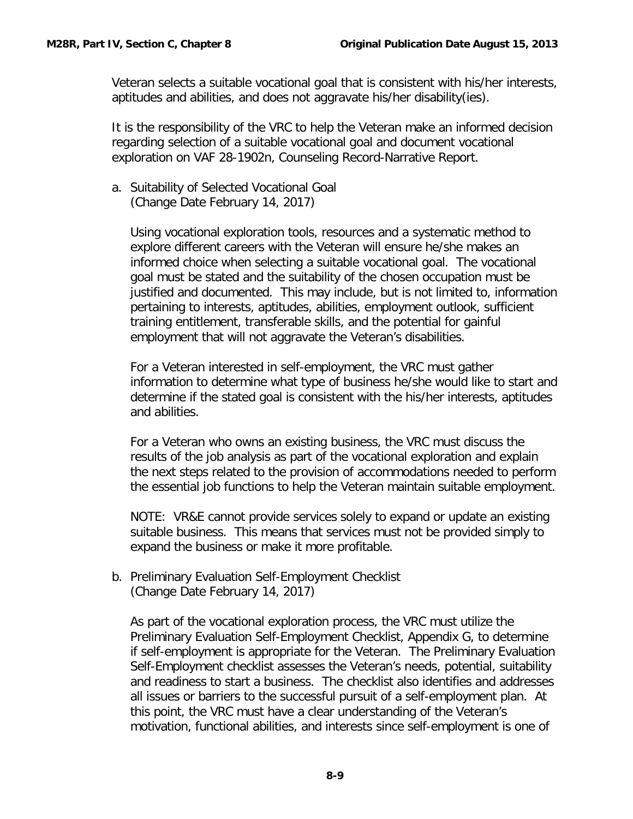Veteran selects a suitable vocational goal that is consistent with his/her interests, aptitudes and abilities, and does not aggravate his/her disability(ies).

It is the responsibility of the VRC to help the Veteran make an informed decision regarding selection of a suitable vocational goal and document vocational exploration on VAF 28-1902n, Counseling Record-Narrative Report.

<span id="page-10-0"></span>a. Suitability of Selected Vocational Goal (Change Date February 14, 2017)

Using vocational exploration tools, resources and a systematic method to explore different careers with the Veteran will ensure he/she makes an informed choice when selecting a suitable vocational goal. The vocational goal must be stated and the suitability of the chosen occupation must be justified and documented. This may include, but is not limited to, information pertaining to interests, aptitudes, abilities, employment outlook, sufficient training entitlement, transferable skills, and the potential for gainful employment that will not aggravate the Veteran's disabilities.

For a Veteran interested in self-employment, the VRC must gather information to determine what type of business he/she would like to start and determine if the stated goal is consistent with the his/her interests, aptitudes and abilities.

For a Veteran who owns an existing business, the VRC must discuss the results of the job analysis as part of the vocational exploration and explain the next steps related to the provision of accommodations needed to perform the essential job functions to help the Veteran maintain suitable employment.

NOTE: VR&E cannot provide services solely to expand or update an existing suitable business. This means that services must not be provided simply to expand the business or make it more profitable.

<span id="page-10-1"></span>b. Preliminary Evaluation Self-Employment Checklist (Change Date February 14, 2017)

As part of the vocational exploration process, the VRC must utilize the Preliminary Evaluation Self-Employment Checklist, Appendix G, to determine if self-employment is appropriate for the Veteran. The Preliminary Evaluation Self-Employment checklist assesses the Veteran's needs, potential, suitability and readiness to start a business. The checklist also identifies and addresses all issues or barriers to the successful pursuit of a self-employment plan. At this point, the VRC must have a clear understanding of the Veteran's motivation, functional abilities, and interests since self-employment is one of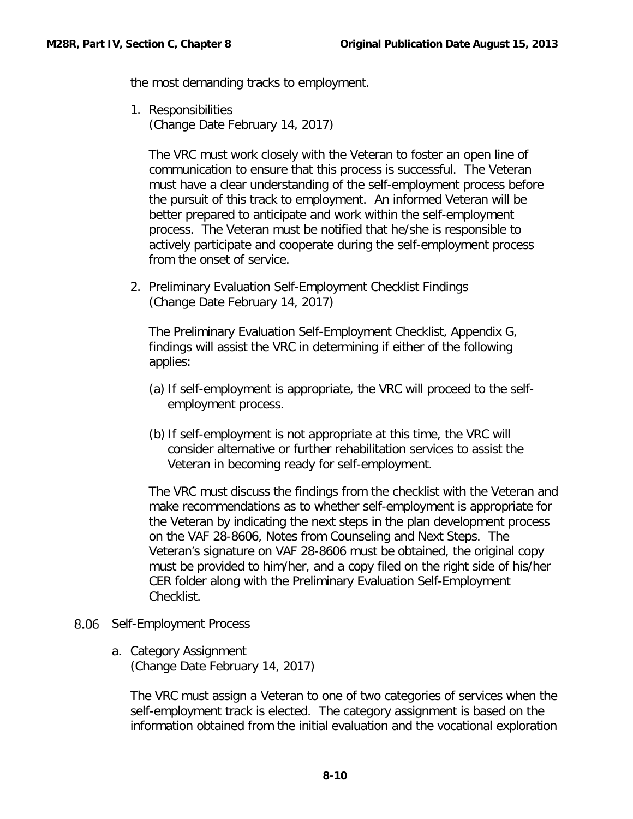the most demanding tracks to employment.

1. Responsibilities (Change Date February 14, 2017)

The VRC must work closely with the Veteran to foster an open line of communication to ensure that this process is successful. The Veteran must have a clear understanding of the self-employment process before the pursuit of this track to employment. An informed Veteran will be better prepared to anticipate and work within the self-employment process. The Veteran must be notified that he/she is responsible to actively participate and cooperate during the self-employment process from the onset of service.

2. Preliminary Evaluation Self-Employment Checklist Findings (Change Date February 14, 2017)

The Preliminary Evaluation Self-Employment Checklist, Appendix G, findings will assist the VRC in determining if either of the following applies:

- (a) If self-employment is appropriate, the VRC will proceed to the selfemployment process.
- (b) If self-employment is not appropriate at this time, the VRC will consider alternative or further rehabilitation services to assist the Veteran in becoming ready for self-employment.

The VRC must discuss the findings from the checklist with the Veteran and make recommendations as to whether self-employment is appropriate for the Veteran by indicating the next steps in the plan development process on the VAF 28-8606, Notes from Counseling and Next Steps. The Veteran's signature on VAF 28-8606 must be obtained, the original copy must be provided to him/her, and a copy filed on the right side of his/her CER folder along with the Preliminary Evaluation Self-Employment Checklist.

- <span id="page-11-1"></span><span id="page-11-0"></span>8.06 Self-Employment Process
	- a. Category Assignment (Change Date February 14, 2017)

The VRC must assign a Veteran to one of two categories of services when the self-employment track is elected. The category assignment is based on the information obtained from the initial evaluation and the vocational exploration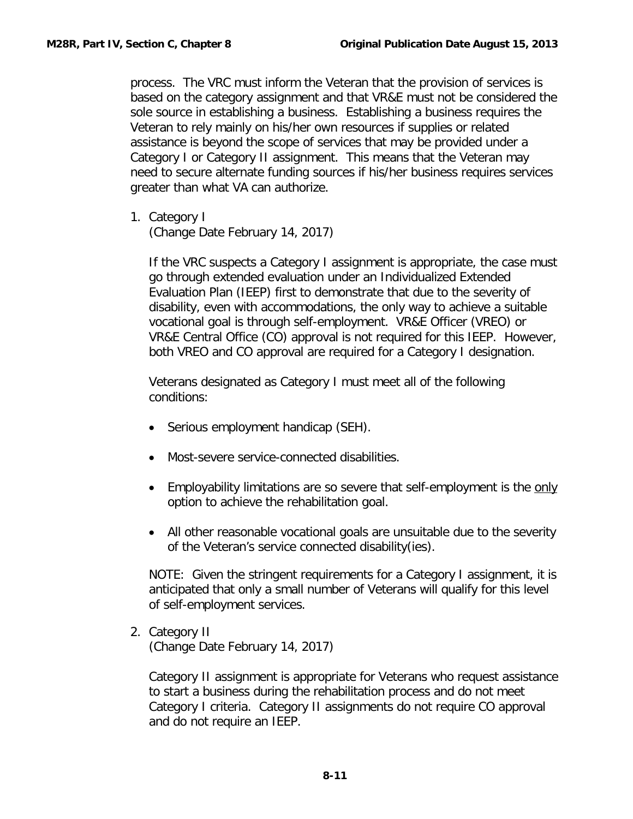process. The VRC must inform the Veteran that the provision of services is based on the category assignment and that VR&E must not be considered the sole source in establishing a business. Establishing a business requires the Veteran to rely mainly on his/her own resources if supplies or related assistance is beyond the scope of services that may be provided under a Category I or Category II assignment. This means that the Veteran may need to secure alternate funding sources if his/her business requires services greater than what VA can authorize.

1. Category I (Change Date February 14, 2017)

If the VRC suspects a Category I assignment is appropriate, the case must go through extended evaluation under an Individualized Extended Evaluation Plan (IEEP) first to demonstrate that due to the severity of disability, even with accommodations, the only way to achieve a suitable vocational goal is through self-employment. VR&E Officer (VREO) or VR&E Central Office (CO) approval is not required for this IEEP. However, both VREO and CO approval are required for a Category I designation.

Veterans designated as Category I must meet all of the following conditions:

- Serious employment handicap (SEH).
- Most-severe service-connected disabilities.
- Employability limitations are so severe that self-employment is the only option to achieve the rehabilitation goal.
- All other reasonable vocational goals are unsuitable due to the severity of the Veteran's service connected disability(ies).

NOTE: Given the stringent requirements for a Category I assignment, it is anticipated that only a small number of Veterans will qualify for this level of self-employment services.

2. Category II (Change Date February 14, 2017)

Category II assignment is appropriate for Veterans who request assistance to start a business during the rehabilitation process and do not meet Category I criteria. Category II assignments do not require CO approval and do not require an IEEP.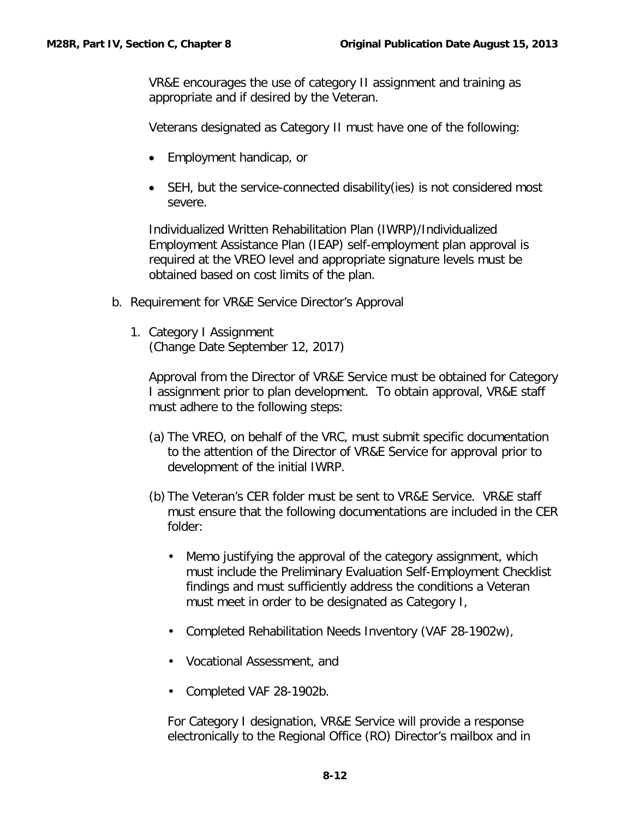VR&E encourages the use of category II assignment and training as appropriate and if desired by the Veteran.

Veterans designated as Category II must have one of the following:

- Employment handicap, or
- SEH, but the service-connected disability(ies) is not considered most severe.

Individualized Written Rehabilitation Plan (IWRP)/Individualized Employment Assistance Plan (IEAP) self-employment plan approval is required at the VREO level and appropriate signature levels must be obtained based on cost limits of the plan.

- <span id="page-13-0"></span>b. Requirement for VR&E Service Director's Approval
	- 1. Category I Assignment (Change Date September 12, 2017)

Approval from the Director of VR&E Service must be obtained for Category I assignment prior to plan development. To obtain approval, VR&E staff must adhere to the following steps:

- (a) The VREO, on behalf of the VRC, must submit specific documentation to the attention of the Director of VR&E Service for approval prior to development of the initial IWRP.
- (b) The Veteran's CER folder must be sent to VR&E Service. VR&E staff must ensure that the following documentations are included in the CER folder:
	- Memo justifying the approval of the category assignment, which must include the Preliminary Evaluation Self-Employment Checklist findings and must sufficiently address the conditions a Veteran must meet in order to be designated as Category I,
	- Completed Rehabilitation Needs Inventory (VAF 28-1902w),
	- Vocational Assessment, and
	- Completed VAF 28-1902b.

For Category I designation, VR&E Service will provide a response electronically to the Regional Office (RO) Director's mailbox and in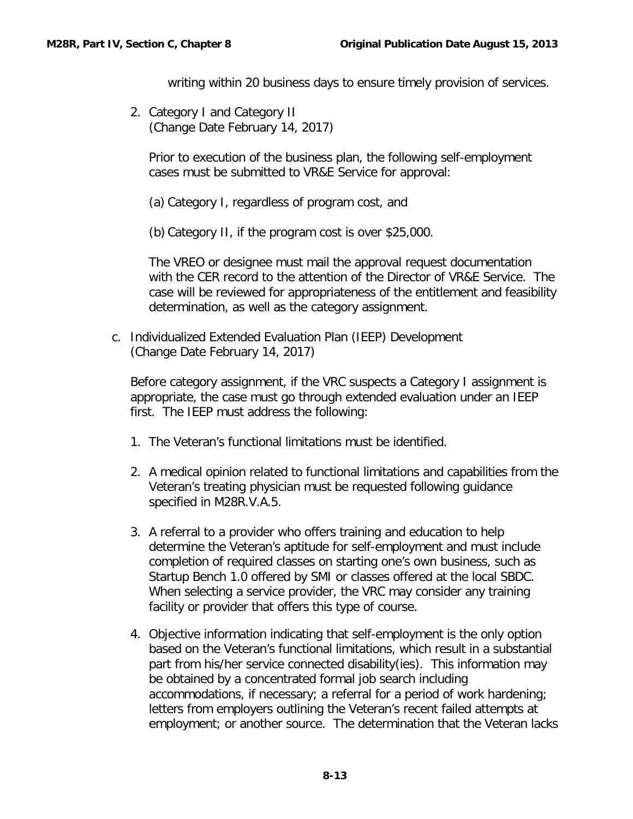writing within 20 business days to ensure timely provision of services.

2. Category I and Category II (Change Date February 14, 2017)

Prior to execution of the business plan, the following self-employment cases must be submitted to VR&E Service for approval:

(a) Category I, regardless of program cost, and

(b) Category II, if the program cost is over \$25,000.

The VREO or designee must mail the approval request documentation with the CER record to the attention of the Director of VR&E Service. The case will be reviewed for appropriateness of the entitlement and feasibility determination, as well as the category assignment.

<span id="page-14-0"></span>c. Individualized Extended Evaluation Plan (IEEP) Development (Change Date February 14, 2017)

Before category assignment, if the VRC suspects a Category I assignment is appropriate, the case must go through extended evaluation under an IEEP first. The IEEP must address the following:

- 1. The Veteran's functional limitations must be identified.
- 2. A medical opinion related to functional limitations and capabilities from the Veteran's treating physician must be requested following guidance specified in M28R.V.A.5.
- 3. A referral to a provider who offers training and education to help determine the Veteran's aptitude for self-employment and must include completion of required classes on starting one's own business, such as Startup Bench 1.0 offered by SMI or classes offered at the local SBDC. When selecting a service provider, the VRC may consider any training facility or provider that offers this type of course.
- 4. Objective information indicating that self-employment is the only option based on the Veteran's functional limitations, which result in a substantial part from his/her service connected disability(ies). This information may be obtained by a concentrated formal job search including accommodations, if necessary; a referral for a period of work hardening; letters from employers outlining the Veteran's recent failed attempts at employment; or another source. The determination that the Veteran lacks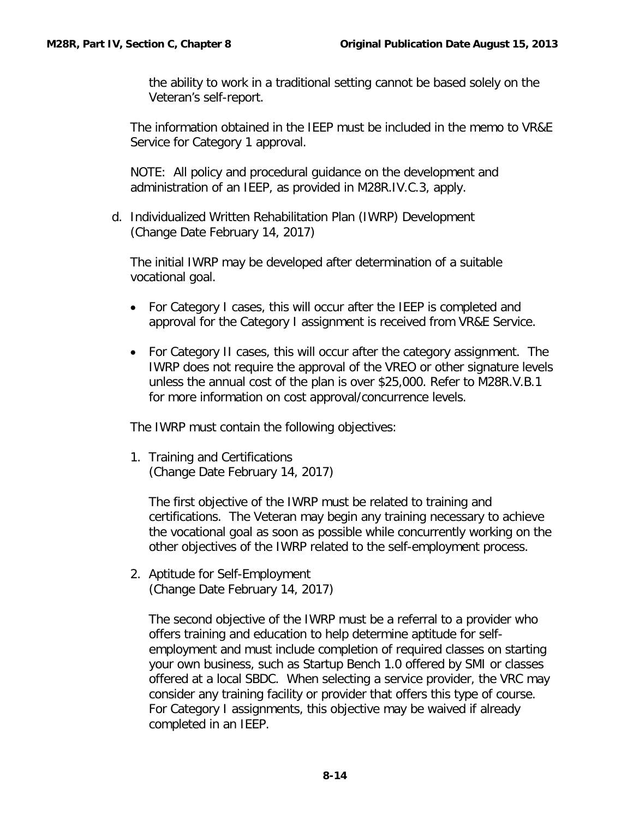the ability to work in a traditional setting cannot be based solely on the Veteran's self-report.

The information obtained in the IEEP must be included in the memo to VR&E Service for Category 1 approval.

NOTE: All policy and procedural guidance on the development and administration of an IEEP, as provided in M28R.IV.C.3, apply.

<span id="page-15-0"></span>d. Individualized Written Rehabilitation Plan (IWRP) Development (Change Date February 14, 2017)

The initial IWRP may be developed after determination of a suitable vocational goal.

- For Category I cases, this will occur after the IEEP is completed and approval for the Category I assignment is received from VR&E Service.
- For Category II cases, this will occur after the category assignment. The IWRP does not require the approval of the VREO or other signature levels unless the annual cost of the plan is over \$25,000. Refer to M28R.V.B.1 for more information on cost approval/concurrence levels.

The IWRP must contain the following objectives:

1. Training and Certifications (Change Date February 14, 2017)

The first objective of the IWRP must be related to training and certifications. The Veteran may begin any training necessary to achieve the vocational goal as soon as possible while concurrently working on the other objectives of the IWRP related to the self-employment process.

2. Aptitude for Self-Employment (Change Date February 14, 2017)

The second objective of the IWRP must be a referral to a provider who offers training and education to help determine aptitude for selfemployment and must include completion of required classes on starting your own business, such as Startup Bench 1.0 offered by SMI or classes offered at a local SBDC. When selecting a service provider, the VRC may consider any training facility or provider that offers this type of course. For Category I assignments, this objective may be waived if already completed in an IEEP.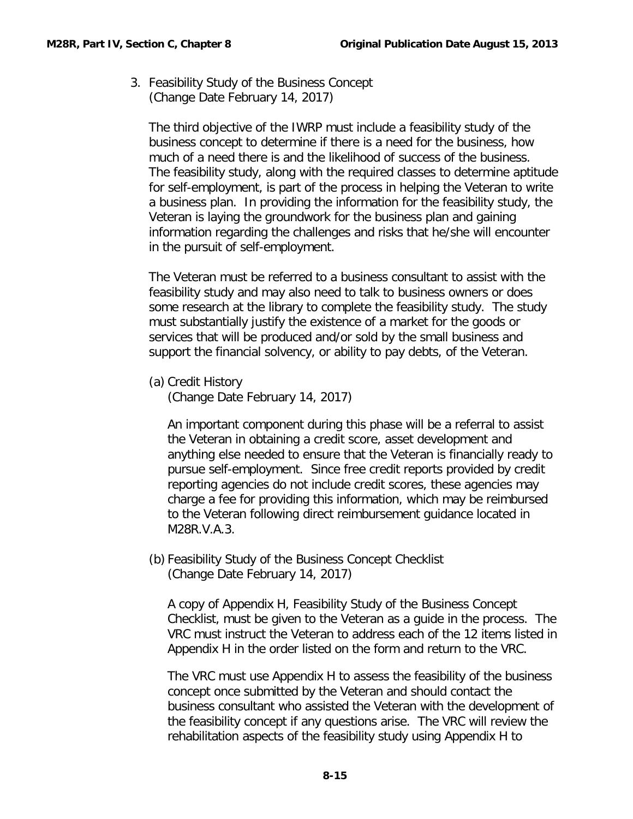3. Feasibility Study of the Business Concept (Change Date February 14, 2017)

The third objective of the IWRP must include a feasibility study of the business concept to determine if there is a need for the business, how much of a need there is and the likelihood of success of the business. The feasibility study, along with the required classes to determine aptitude for self-employment, is part of the process in helping the Veteran to write a business plan. In providing the information for the feasibility study, the Veteran is laying the groundwork for the business plan and gaining information regarding the challenges and risks that he/she will encounter in the pursuit of self-employment.

The Veteran must be referred to a business consultant to assist with the feasibility study and may also need to talk to business owners or does some research at the library to complete the feasibility study. The study must substantially justify the existence of a market for the goods or services that will be produced and/or sold by the small business and support the financial solvency, or ability to pay debts, of the Veteran.

(a) Credit History

(Change Date February 14, 2017)

An important component during this phase will be a referral to assist the Veteran in obtaining a credit score, asset development and anything else needed to ensure that the Veteran is financially ready to pursue self-employment. Since free credit reports provided by credit reporting agencies do not include credit scores, these agencies may charge a fee for providing this information, which may be reimbursed to the Veteran following direct reimbursement guidance located in M28R.V.A.3.

(b) Feasibility Study of the Business Concept Checklist (Change Date February 14, 2017)

A copy of Appendix H, Feasibility Study of the Business Concept Checklist, must be given to the Veteran as a guide in the process. The VRC must instruct the Veteran to address each of the 12 items listed in Appendix H in the order listed on the form and return to the VRC.

The VRC must use Appendix H to assess the feasibility of the business concept once submitted by the Veteran and should contact the business consultant who assisted the Veteran with the development of the feasibility concept if any questions arise. The VRC will review the rehabilitation aspects of the feasibility study using Appendix H to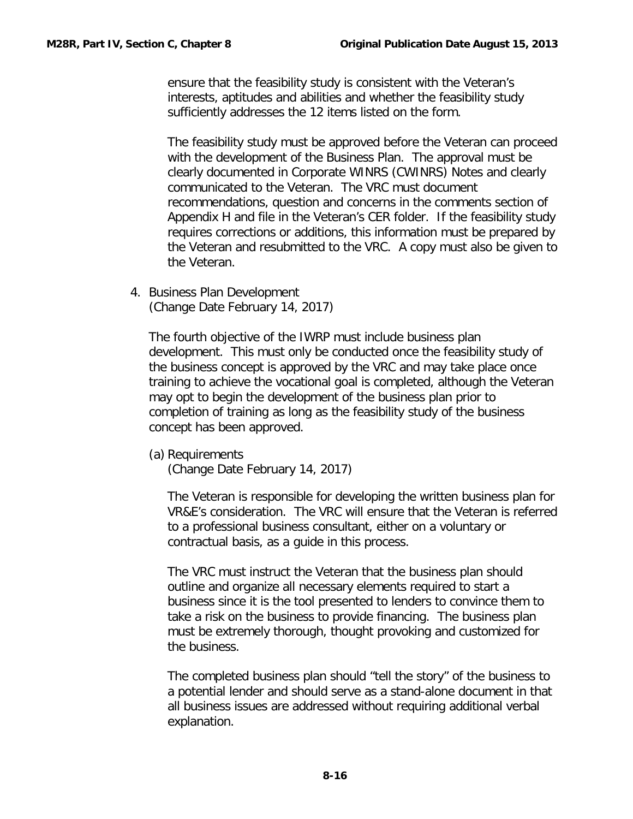ensure that the feasibility study is consistent with the Veteran's interests, aptitudes and abilities and whether the feasibility study sufficiently addresses the 12 items listed on the form.

The feasibility study must be approved before the Veteran can proceed with the development of the Business Plan. The approval must be clearly documented in Corporate WINRS (CWINRS) Notes and clearly communicated to the Veteran. The VRC must document recommendations, question and concerns in the comments section of Appendix H and file in the Veteran's CER folder. If the feasibility study requires corrections or additions, this information must be prepared by the Veteran and resubmitted to the VRC. A copy must also be given to the Veteran.

4. Business Plan Development (Change Date February 14, 2017)

The fourth objective of the IWRP must include business plan development. This must only be conducted once the feasibility study of the business concept is approved by the VRC and may take place once training to achieve the vocational goal is completed, although the Veteran may opt to begin the development of the business plan prior to completion of training as long as the feasibility study of the business concept has been approved.

(a) Requirements

(Change Date February 14, 2017)

The Veteran is responsible for developing the written business plan for VR&E's consideration. The VRC will ensure that the Veteran is referred to a professional business consultant, either on a voluntary or contractual basis, as a guide in this process.

The VRC must instruct the Veteran that the business plan should outline and organize all necessary elements required to start a business since it is the tool presented to lenders to convince them to take a risk on the business to provide financing. The business plan must be extremely thorough, thought provoking and customized for the business.

The completed business plan should "tell the story" of the business to a potential lender and should serve as a stand-alone document in that all business issues are addressed without requiring additional verbal explanation.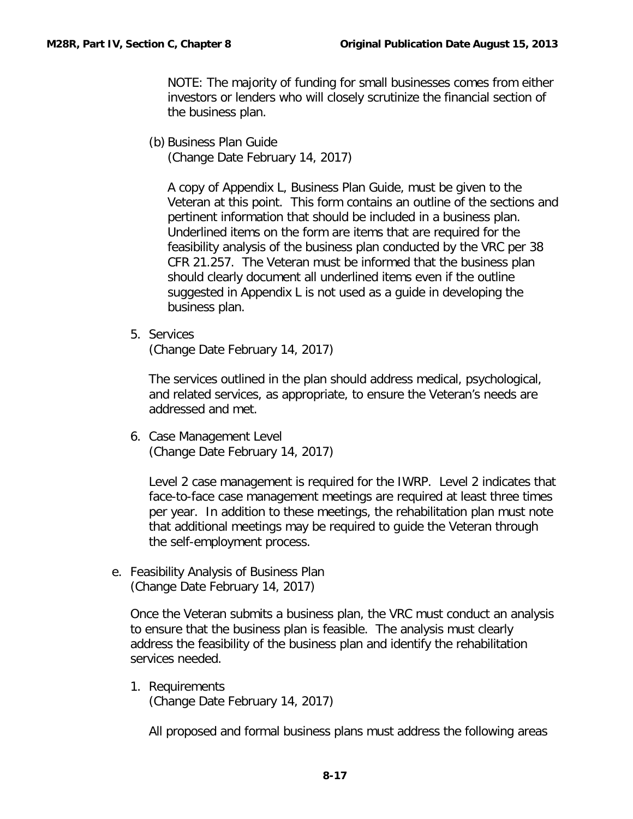NOTE: The majority of funding for small businesses comes from either investors or lenders who will closely scrutinize the financial section of the business plan.

(b) Business Plan Guide

(Change Date February 14, 2017)

A copy of Appendix L, Business Plan Guide, must be given to the Veteran at this point. This form contains an outline of the sections and pertinent information that should be included in a business plan. Underlined items on the form are items that are required for the feasibility analysis of the business plan conducted by the VRC per 38 CFR 21.257. The Veteran must be informed that the business plan should clearly document all underlined items even if the outline suggested in Appendix L is not used as a guide in developing the business plan.

5. Services

(Change Date February 14, 2017)

The services outlined in the plan should address medical, psychological, and related services, as appropriate, to ensure the Veteran's needs are addressed and met.

6. Case Management Level (Change Date February 14, 2017)

Level 2 case management is required for the IWRP. Level 2 indicates that face-to-face case management meetings are required at least three times per year. In addition to these meetings, the rehabilitation plan must note that additional meetings may be required to guide the Veteran through the self-employment process.

<span id="page-18-0"></span>e. Feasibility Analysis of Business Plan (Change Date February 14, 2017)

Once the Veteran submits a business plan, the VRC must conduct an analysis to ensure that the business plan is feasible. The analysis must clearly address the feasibility of the business plan and identify the rehabilitation services needed.

1. Requirements (Change Date February 14, 2017)

All proposed and formal business plans must address the following areas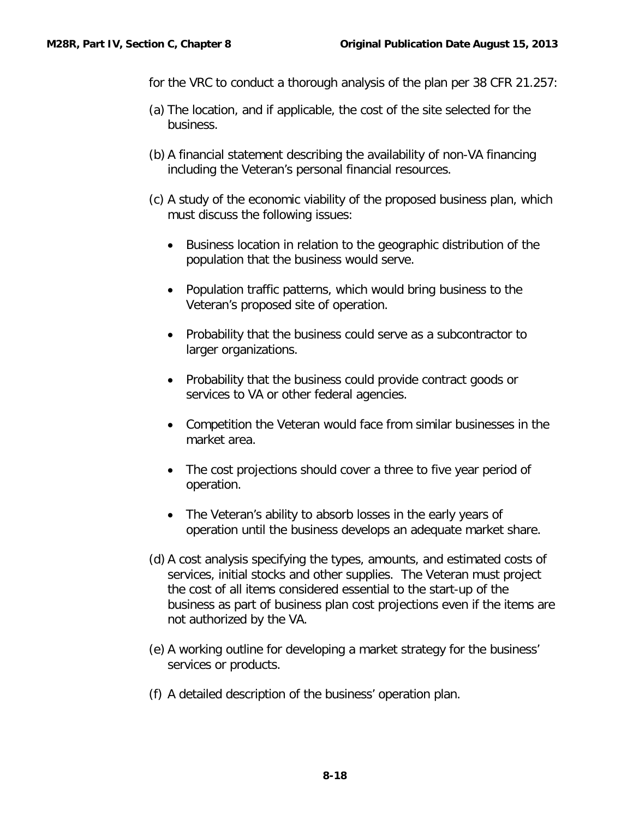- for the VRC to conduct a thorough analysis of the plan per 38 CFR 21.257:
- (a) The location, and if applicable, the cost of the site selected for the business.
- (b) A financial statement describing the availability of non-VA financing including the Veteran's personal financial resources.
- (c) A study of the economic viability of the proposed business plan, which must discuss the following issues:
	- Business location in relation to the geographic distribution of the population that the business would serve.
	- Population traffic patterns, which would bring business to the Veteran's proposed site of operation.
	- Probability that the business could serve as a subcontractor to larger organizations.
	- Probability that the business could provide contract goods or services to VA or other federal agencies.
	- Competition the Veteran would face from similar businesses in the market area.
	- The cost projections should cover a three to five year period of operation.
	- The Veteran's ability to absorb losses in the early years of operation until the business develops an adequate market share.
- (d) A cost analysis specifying the types, amounts, and estimated costs of services, initial stocks and other supplies. The Veteran must project the cost of all items considered essential to the start-up of the business as part of business plan cost projections even if the items are not authorized by the VA.
- (e) A working outline for developing a market strategy for the business' services or products.
- (f) A detailed description of the business' operation plan.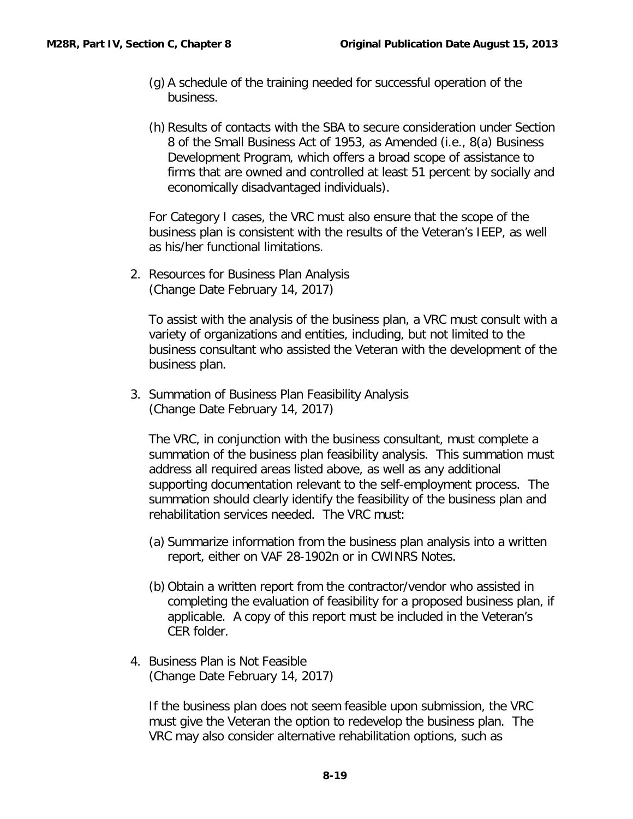- (g) A schedule of the training needed for successful operation of the business.
- (h) Results of contacts with the SBA to secure consideration under Section 8 of the Small Business Act of 1953, as Amended (i.e., 8(a) Business Development Program, which offers a broad scope of assistance to firms that are owned and controlled at least 51 percent by socially and economically disadvantaged individuals).

For Category I cases, the VRC must also ensure that the scope of the business plan is consistent with the results of the Veteran's IEEP, as well as his/her functional limitations.

2. Resources for Business Plan Analysis (Change Date February 14, 2017)

To assist with the analysis of the business plan, a VRC must consult with a variety of organizations and entities, including, but not limited to the business consultant who assisted the Veteran with the development of the business plan.

3. Summation of Business Plan Feasibility Analysis (Change Date February 14, 2017)

The VRC, in conjunction with the business consultant, must complete a summation of the business plan feasibility analysis. This summation must address all required areas listed above, as well as any additional supporting documentation relevant to the self-employment process. The summation should clearly identify the feasibility of the business plan and rehabilitation services needed. The VRC must:

- (a) Summarize information from the business plan analysis into a written report, either on VAF 28-1902n or in CWINRS Notes.
- (b) Obtain a written report from the contractor/vendor who assisted in completing the evaluation of feasibility for a proposed business plan, if applicable. A copy of this report must be included in the Veteran's CER folder.
- 4. Business Plan is Not Feasible (Change Date February 14, 2017)

If the business plan does not seem feasible upon submission, the VRC must give the Veteran the option to redevelop the business plan. The VRC may also consider alternative rehabilitation options, such as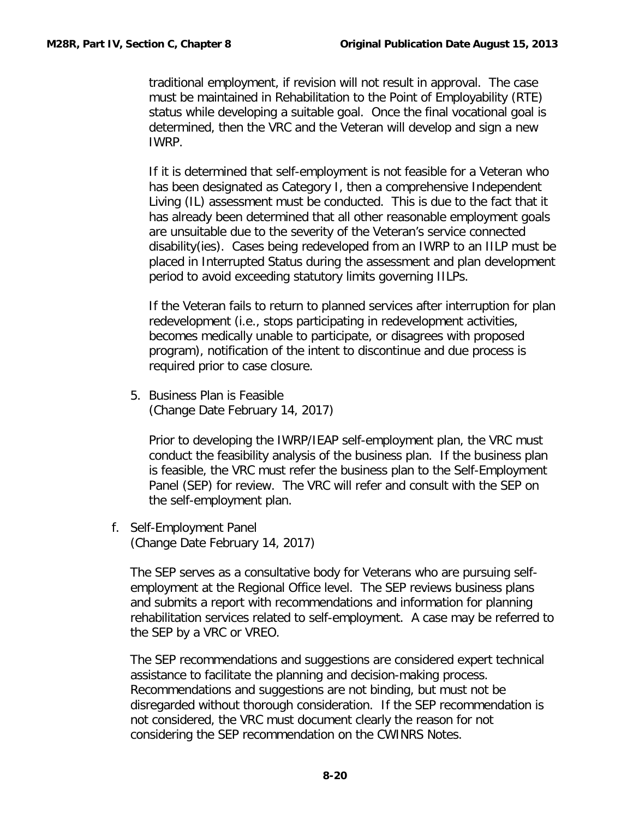traditional employment, if revision will not result in approval. The case must be maintained in Rehabilitation to the Point of Employability (RTE) status while developing a suitable goal. Once the final vocational goal is determined, then the VRC and the Veteran will develop and sign a new IWRP.

If it is determined that self-employment is not feasible for a Veteran who has been designated as Category I, then a comprehensive Independent Living (IL) assessment must be conducted. This is due to the fact that it has already been determined that all other reasonable employment goals are unsuitable due to the severity of the Veteran's service connected disability(ies). Cases being redeveloped from an IWRP to an IILP must be placed in Interrupted Status during the assessment and plan development period to avoid exceeding statutory limits governing IILPs.

If the Veteran fails to return to planned services after interruption for plan redevelopment (i.e., stops participating in redevelopment activities, becomes medically unable to participate, or disagrees with proposed program), notification of the intent to discontinue and due process is required prior to case closure.

5. Business Plan is Feasible (Change Date February 14, 2017)

Prior to developing the IWRP/IEAP self-employment plan, the VRC must conduct the feasibility analysis of the business plan. If the business plan is feasible, the VRC must refer the business plan to the Self-Employment Panel (SEP) for review. The VRC will refer and consult with the SEP on the self-employment plan.

<span id="page-21-0"></span>f. Self-Employment Panel (Change Date February 14, 2017)

The SEP serves as a consultative body for Veterans who are pursuing selfemployment at the Regional Office level. The SEP reviews business plans and submits a report with recommendations and information for planning rehabilitation services related to self-employment. A case may be referred to the SEP by a VRC or VREO.

The SEP recommendations and suggestions are considered expert technical assistance to facilitate the planning and decision-making process. Recommendations and suggestions are not binding, but must not be disregarded without thorough consideration. If the SEP recommendation is not considered, the VRC must document clearly the reason for not considering the SEP recommendation on the CWINRS Notes.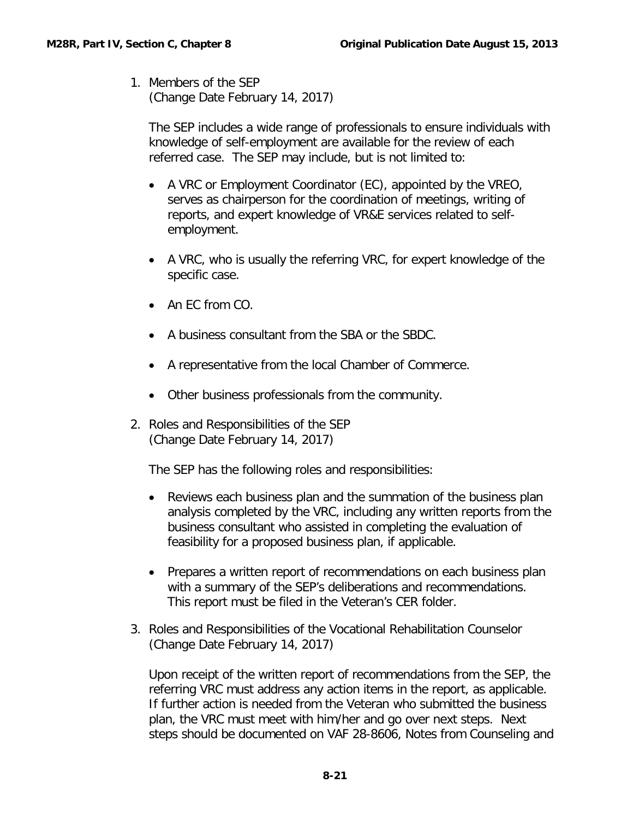1. Members of the SEP (Change Date February 14, 2017)

The SEP includes a wide range of professionals to ensure individuals with knowledge of self-employment are available for the review of each referred case. The SEP may include, but is not limited to:

- A VRC or Employment Coordinator (EC), appointed by the VREO, serves as chairperson for the coordination of meetings, writing of reports, and expert knowledge of VR&E services related to selfemployment.
- A VRC, who is usually the referring VRC, for expert knowledge of the specific case.
- An EC from CO.
- A business consultant from the SBA or the SBDC.
- A representative from the local Chamber of Commerce.
- Other business professionals from the community.
- 2. Roles and Responsibilities of the SEP (Change Date February 14, 2017)

The SEP has the following roles and responsibilities:

- Reviews each business plan and the summation of the business plan analysis completed by the VRC, including any written reports from the business consultant who assisted in completing the evaluation of feasibility for a proposed business plan, if applicable.
- Prepares a written report of recommendations on each business plan with a summary of the SEP's deliberations and recommendations. This report must be filed in the Veteran's CER folder.
- 3. Roles and Responsibilities of the Vocational Rehabilitation Counselor (Change Date February 14, 2017)

Upon receipt of the written report of recommendations from the SEP, the referring VRC must address any action items in the report, as applicable. If further action is needed from the Veteran who submitted the business plan, the VRC must meet with him/her and go over next steps. Next steps should be documented on VAF 28-8606, Notes from Counseling and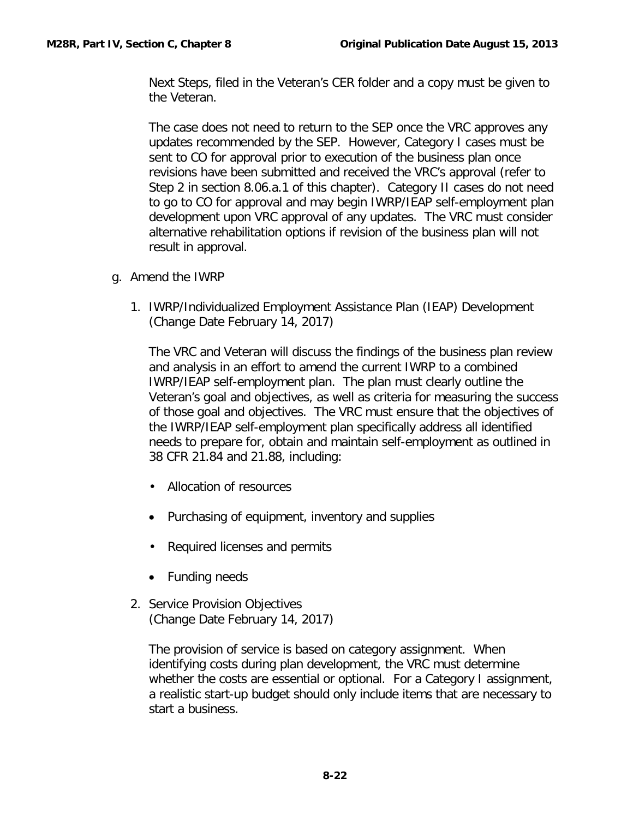Next Steps, filed in the Veteran's CER folder and a copy must be given to the Veteran.

The case does not need to return to the SEP once the VRC approves any updates recommended by the SEP. However, Category I cases must be sent to CO for approval prior to execution of the business plan once revisions have been submitted and received the VRC's approval (refer to Step 2 in section 8.06.a.1 of this chapter). Category II cases do not need to go to CO for approval and may begin IWRP/IEAP self-employment plan development upon VRC approval of any updates. The VRC must consider alternative rehabilitation options if revision of the business plan will not result in approval.

- <span id="page-23-0"></span>g. Amend the IWRP
	- 1. IWRP/Individualized Employment Assistance Plan (IEAP) Development (Change Date February 14, 2017)

The VRC and Veteran will discuss the findings of the business plan review and analysis in an effort to amend the current IWRP to a combined IWRP/IEAP self-employment plan. The plan must clearly outline the Veteran's goal and objectives, as well as criteria for measuring the success of those goal and objectives. The VRC must ensure that the objectives of the IWRP/IEAP self-employment plan specifically address all identified needs to prepare for, obtain and maintain self-employment as outlined in 38 CFR 21.84 and 21.88, including:

- Allocation of resources
- Purchasing of equipment, inventory and supplies
- Required licenses and permits
- Funding needs
- 2. Service Provision Objectives (Change Date February 14, 2017)

The provision of service is based on category assignment. When identifying costs during plan development, the VRC must determine whether the costs are essential or optional. For a Category I assignment, a realistic start-up budget should only include items that are necessary to start a business.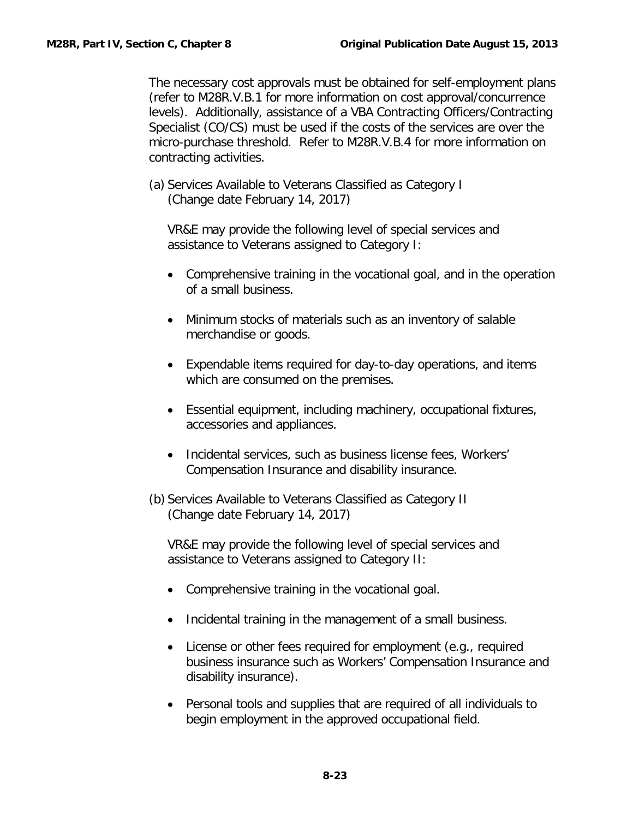The necessary cost approvals must be obtained for self-employment plans (refer to M28R.V.B.1 for more information on cost approval/concurrence levels). Additionally, assistance of a VBA Contracting Officers/Contracting Specialist (CO/CS) must be used if the costs of the services are over the micro-purchase threshold. Refer to M28R.V.B.4 for more information on contracting activities.

(a) Services Available to Veterans Classified as Category I (Change date February 14, 2017)

VR&E may provide the following level of special services and assistance to Veterans assigned to Category I:

- Comprehensive training in the vocational goal, and in the operation of a small business.
- Minimum stocks of materials such as an inventory of salable merchandise or goods.
- Expendable items required for day-to-day operations, and items which are consumed on the premises.
- Essential equipment, including machinery, occupational fixtures, accessories and appliances.
- Incidental services, such as business license fees, Workers' Compensation Insurance and disability insurance.
- (b) Services Available to Veterans Classified as Category II (Change date February 14, 2017)

VR&E may provide the following level of special services and assistance to Veterans assigned to Category II:

- Comprehensive training in the vocational goal.
- Incidental training in the management of a small business.
- License or other fees required for employment (e.g., required business insurance such as Workers' Compensation Insurance and disability insurance).
- Personal tools and supplies that are required of all individuals to begin employment in the approved occupational field.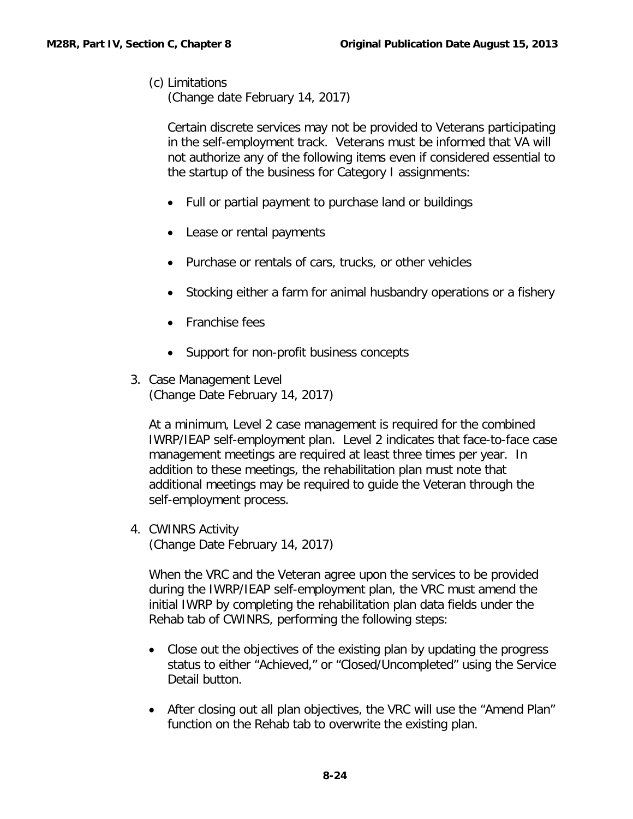## (c) Limitations

(Change date February 14, 2017)

Certain discrete services may not be provided to Veterans participating in the self-employment track. Veterans must be informed that VA will not authorize any of the following items even if considered essential to the startup of the business for Category I assignments:

- Full or partial payment to purchase land or buildings
- Lease or rental payments
- Purchase or rentals of cars, trucks, or other vehicles
- Stocking either a farm for animal husbandry operations or a fishery
- Franchise fees
- Support for non-profit business concepts
- 3. Case Management Level (Change Date February 14, 2017)

At a minimum, Level 2 case management is required for the combined IWRP/IEAP self-employment plan. Level 2 indicates that face-to-face case management meetings are required at least three times per year. In addition to these meetings, the rehabilitation plan must note that additional meetings may be required to guide the Veteran through the self-employment process.

4. CWINRS Activity (Change Date February 14, 2017)

When the VRC and the Veteran agree upon the services to be provided during the IWRP/IEAP self-employment plan, the VRC must amend the initial IWRP by completing the rehabilitation plan data fields under the Rehab tab of CWINRS, performing the following steps:

- Close out the objectives of the existing plan by updating the progress status to either "Achieved," or "Closed/Uncompleted" using the Service Detail button.
- After closing out all plan objectives, the VRC will use the "Amend Plan" function on the Rehab tab to overwrite the existing plan.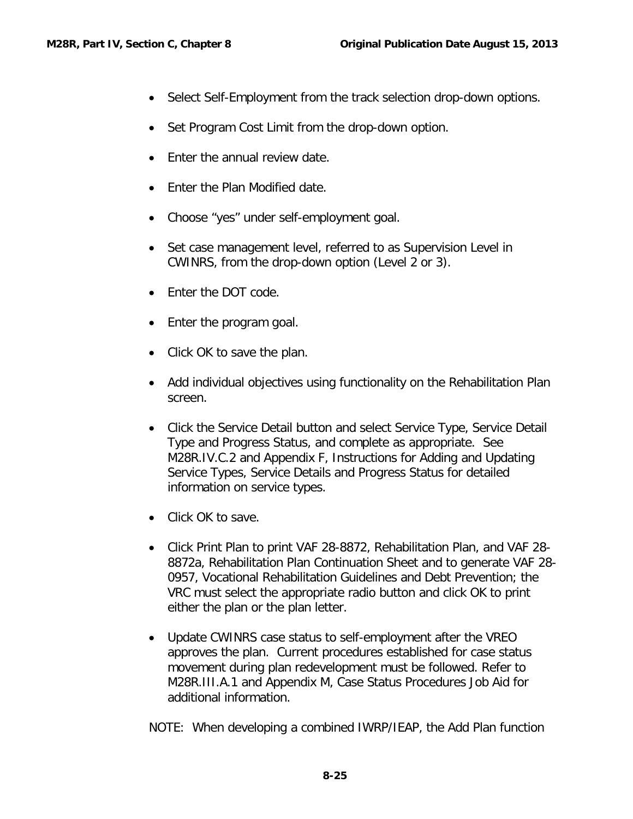- Select Self-Employment from the track selection drop-down options.
- Set Program Cost Limit from the drop-down option.
- Enter the annual review date.
- Enter the Plan Modified date.
- Choose "yes" under self-employment goal.
- Set case management level, referred to as Supervision Level in CWINRS, from the drop-down option (Level 2 or 3).
- Fnter the DOT code.
- Enter the program goal.
- Click OK to save the plan.
- Add individual objectives using functionality on the Rehabilitation Plan screen.
- Click the Service Detail button and select Service Type, Service Detail Type and Progress Status, and complete as appropriate. See M28R.IV.C.2 and Appendix F, Instructions for Adding and Updating Service Types, Service Details and Progress Status for detailed information on service types.
- Click OK to save.
- Click Print Plan to print VAF 28-8872, Rehabilitation Plan, and VAF 28- 8872a, Rehabilitation Plan Continuation Sheet and to generate VAF 28- 0957, Vocational Rehabilitation Guidelines and Debt Prevention; the VRC must select the appropriate radio button and click OK to print either the plan or the plan letter.
- Update CWINRS case status to self-employment after the VREO approves the plan. Current procedures established for case status movement during plan redevelopment must be followed. Refer to M28R.III.A.1 and Appendix M, Case Status Procedures Job Aid for additional information.

NOTE: When developing a combined IWRP/IEAP, the Add Plan function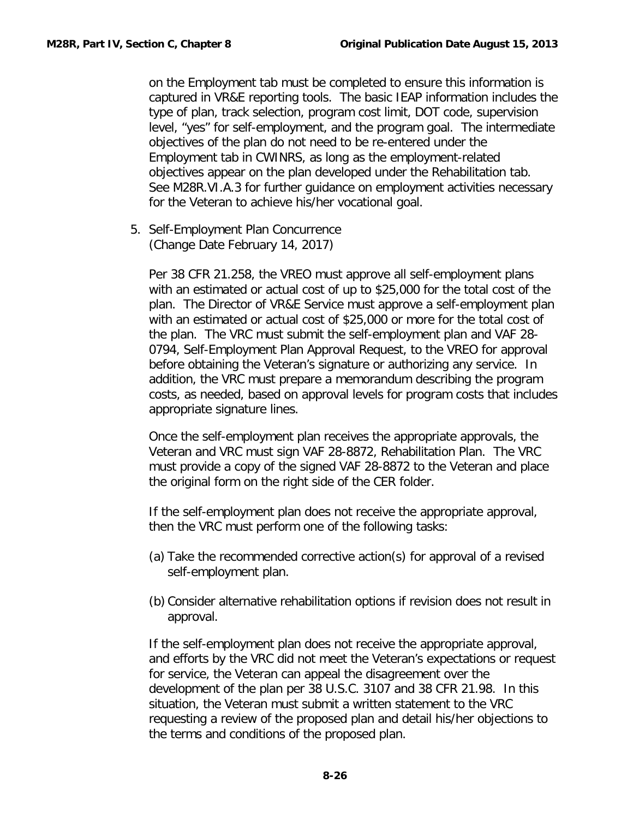on the Employment tab must be completed to ensure this information is captured in VR&E reporting tools. The basic IEAP information includes the type of plan, track selection, program cost limit, DOT code, supervision level, "yes" for self-employment, and the program goal. The intermediate objectives of the plan do not need to be re-entered under the Employment tab in CWINRS, as long as the employment-related objectives appear on the plan developed under the Rehabilitation tab. See M28R.VI.A.3 for further guidance on employment activities necessary for the Veteran to achieve his/her vocational goal.

5. Self-Employment Plan Concurrence (Change Date February 14, 2017)

Per 38 CFR 21.258, the VREO must approve all self-employment plans with an estimated or actual cost of up to \$25,000 for the total cost of the plan. The Director of VR&E Service must approve a self-employment plan with an estimated or actual cost of \$25,000 or more for the total cost of the plan. The VRC must submit the self-employment plan and VAF 28- 0794, Self-Employment Plan Approval Request, to the VREO for approval before obtaining the Veteran's signature or authorizing any service. In addition, the VRC must prepare a memorandum describing the program costs, as needed, based on approval levels for program costs that includes appropriate signature lines.

Once the self-employment plan receives the appropriate approvals, the Veteran and VRC must sign VAF 28-8872, Rehabilitation Plan. The VRC must provide a copy of the signed VAF 28-8872 to the Veteran and place the original form on the right side of the CER folder.

If the self-employment plan does not receive the appropriate approval, then the VRC must perform one of the following tasks:

- (a) Take the recommended corrective action(s) for approval of a revised self-employment plan.
- (b) Consider alternative rehabilitation options if revision does not result in approval.

If the self-employment plan does not receive the appropriate approval, and efforts by the VRC did not meet the Veteran's expectations or request for service, the Veteran can appeal the disagreement over the development of the plan per 38 U.S.C. 3107 and 38 CFR 21.98. In this situation, the Veteran must submit a written statement to the VRC requesting a review of the proposed plan and detail his/her objections to the terms and conditions of the proposed plan.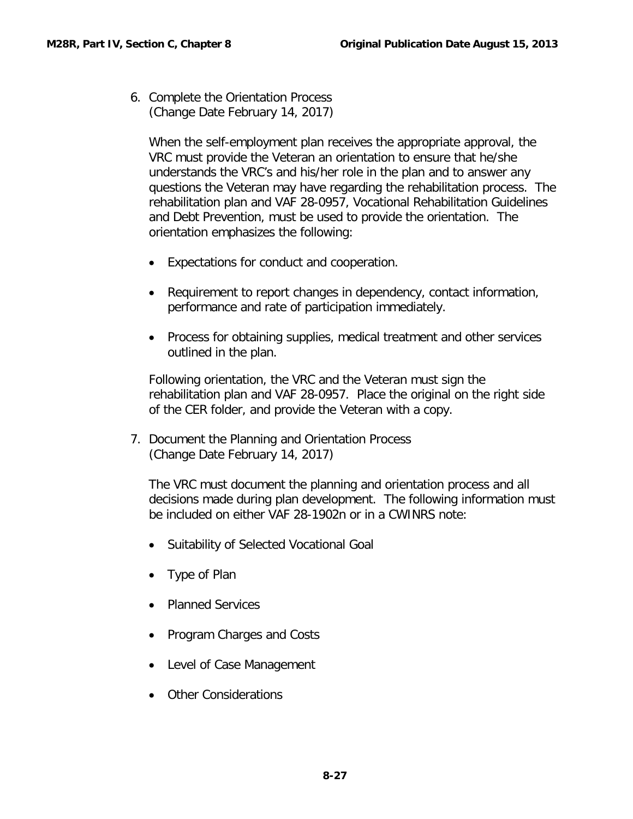6. Complete the Orientation Process (Change Date February 14, 2017)

When the self-employment plan receives the appropriate approval, the VRC must provide the Veteran an orientation to ensure that he/she understands the VRC's and his/her role in the plan and to answer any questions the Veteran may have regarding the rehabilitation process. The rehabilitation plan and VAF 28-0957, Vocational Rehabilitation Guidelines and Debt Prevention, must be used to provide the orientation. The orientation emphasizes the following:

- Expectations for conduct and cooperation.
- Requirement to report changes in dependency, contact information, performance and rate of participation immediately.
- Process for obtaining supplies, medical treatment and other services outlined in the plan.

Following orientation, the VRC and the Veteran must sign the rehabilitation plan and VAF 28-0957. Place the original on the right side of the CER folder, and provide the Veteran with a copy.

7. Document the Planning and Orientation Process (Change Date February 14, 2017)

The VRC must document the planning and orientation process and all decisions made during plan development. The following information must be included on either VAF 28-1902n or in a CWINRS note:

- Suitability of Selected Vocational Goal
- Type of Plan
- Planned Services
- Program Charges and Costs
- Level of Case Management
- Other Considerations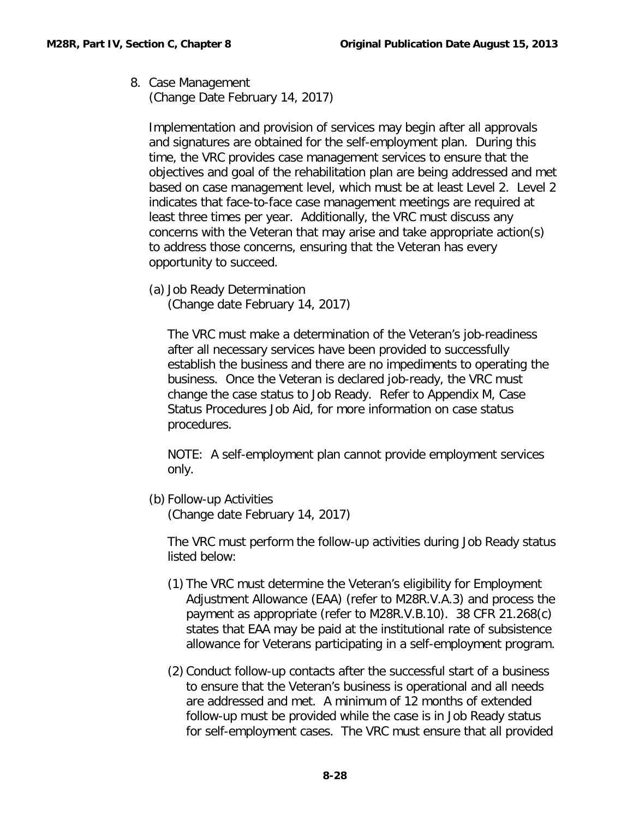8. Case Management (Change Date February 14, 2017)

Implementation and provision of services may begin after all approvals and signatures are obtained for the self-employment plan. During this time, the VRC provides case management services to ensure that the objectives and goal of the rehabilitation plan are being addressed and met based on case management level, which must be at least Level 2. Level 2 indicates that face-to-face case management meetings are required at least three times per year. Additionally, the VRC must discuss any concerns with the Veteran that may arise and take appropriate action(s) to address those concerns, ensuring that the Veteran has every opportunity to succeed.

(a) Job Ready Determination (Change date February 14, 2017)

The VRC must make a determination of the Veteran's job-readiness after all necessary services have been provided to successfully establish the business and there are no impediments to operating the business. Once the Veteran is declared job-ready, the VRC must change the case status to Job Ready. Refer to Appendix M, Case Status Procedures Job Aid, for more information on case status procedures.

NOTE: A self-employment plan cannot provide employment services only.

(b) Follow-up Activities

(Change date February 14, 2017)

The VRC must perform the follow-up activities during Job Ready status listed below:

- (1) The VRC must determine the Veteran's eligibility for Employment Adjustment Allowance (EAA) (refer to M28R.V.A.3) and process the payment as appropriate (refer to M28R.V.B.10). 38 CFR 21.268(c) states that EAA may be paid at the institutional rate of subsistence allowance for Veterans participating in a self-employment program.
- (2) Conduct follow-up contacts after the successful start of a business to ensure that the Veteran's business is operational and all needs are addressed and met. A minimum of 12 months of extended follow-up must be provided while the case is in Job Ready status for self-employment cases. The VRC must ensure that all provided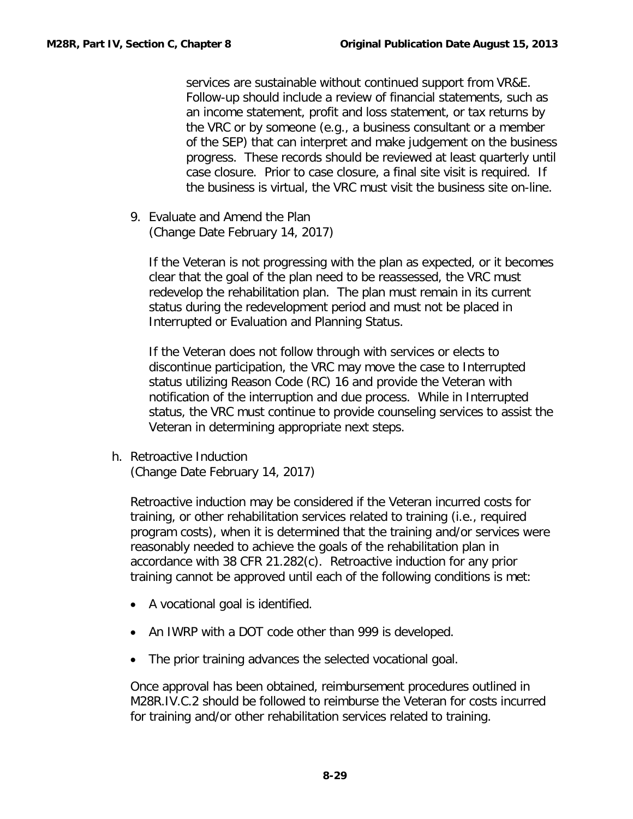services are sustainable without continued support from VR&E. Follow-up should include a review of financial statements, such as an income statement, profit and loss statement, or tax returns by the VRC or by someone (e.g., a business consultant or a member of the SEP) that can interpret and make judgement on the business progress. These records should be reviewed at least quarterly until case closure. Prior to case closure, a final site visit is required. If the business is virtual, the VRC must visit the business site on-line.

9. Evaluate and Amend the Plan (Change Date February 14, 2017)

If the Veteran is not progressing with the plan as expected, or it becomes clear that the goal of the plan need to be reassessed, the VRC must redevelop the rehabilitation plan. The plan must remain in its current status during the redevelopment period and must not be placed in Interrupted or Evaluation and Planning Status.

If the Veteran does not follow through with services or elects to discontinue participation, the VRC may move the case to Interrupted status utilizing Reason Code (RC) 16 and provide the Veteran with notification of the interruption and due process. While in Interrupted status, the VRC must continue to provide counseling services to assist the Veteran in determining appropriate next steps.

<span id="page-30-0"></span>h. Retroactive Induction (Change Date February 14, 2017)

Retroactive induction may be considered if the Veteran incurred costs for training, or other rehabilitation services related to training (i.e., required program costs), when it is determined that the training and/or services were reasonably needed to achieve the goals of the rehabilitation plan in accordance with 38 CFR 21.282(c). Retroactive induction for any prior training cannot be approved until each of the following conditions is met:

- A vocational goal is identified.
- An IWRP with a DOT code other than 999 is developed.
- The prior training advances the selected vocational goal.

Once approval has been obtained, reimbursement procedures outlined in M28R.IV.C.2 should be followed to reimburse the Veteran for costs incurred for training and/or other rehabilitation services related to training.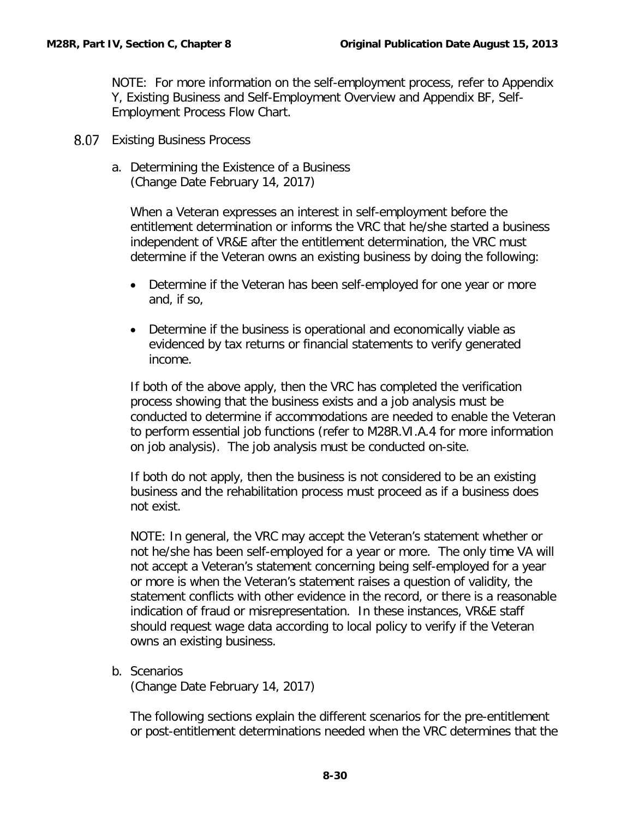NOTE: For more information on the self-employment process, refer to Appendix Y, Existing Business and Self-Employment Overview and Appendix BF, Self-Employment Process Flow Chart.

- <span id="page-31-1"></span><span id="page-31-0"></span>8.07 Existing Business Process
	- a. Determining the Existence of a Business (Change Date February 14, 2017)

When a Veteran expresses an interest in self-employment before the entitlement determination or informs the VRC that he/she started a business independent of VR&E after the entitlement determination, the VRC must determine if the Veteran owns an existing business by doing the following:

- Determine if the Veteran has been self-employed for one year or more and, if so,
- Determine if the business is operational and economically viable as evidenced by tax returns or financial statements to verify generated income.

If both of the above apply, then the VRC has completed the verification process showing that the business exists and a job analysis must be conducted to determine if accommodations are needed to enable the Veteran to perform essential job functions (refer to M28R.VI.A.4 for more information on job analysis). The job analysis must be conducted on-site.

If both do not apply, then the business is not considered to be an existing business and the rehabilitation process must proceed as if a business does not exist.

NOTE: In general, the VRC may accept the Veteran's statement whether or not he/she has been self-employed for a year or more. The only time VA will not accept a Veteran's statement concerning being self-employed for a year or more is when the Veteran's statement raises a question of validity, the statement conflicts with other evidence in the record, or there is a reasonable indication of fraud or misrepresentation. In these instances, VR&E staff should request wage data according to local policy to verify if the Veteran owns an existing business.

<span id="page-31-2"></span>b. Scenarios

(Change Date February 14, 2017)

The following sections explain the different scenarios for the pre-entitlement or post-entitlement determinations needed when the VRC determines that the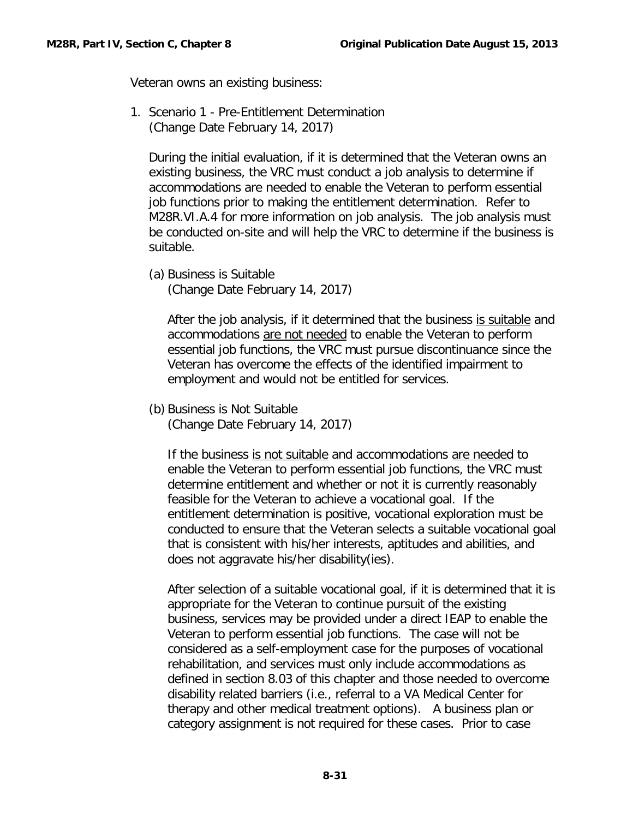Veteran owns an existing business:

1. Scenario 1 - Pre-Entitlement Determination (Change Date February 14, 2017)

During the initial evaluation, if it is determined that the Veteran owns an existing business, the VRC must conduct a job analysis to determine if accommodations are needed to enable the Veteran to perform essential job functions prior to making the entitlement determination. Refer to M28R.VI.A.4 for more information on job analysis. The job analysis must be conducted on-site and will help the VRC to determine if the business is suitable.

(a) Business is Suitable

(Change Date February 14, 2017)

After the job analysis, if it determined that the business is suitable and accommodations are not needed to enable the Veteran to perform essential job functions, the VRC must pursue discontinuance since the Veteran has overcome the effects of the identified impairment to employment and would not be entitled for services.

(b) Business is Not Suitable (Change Date February 14, 2017)

If the business is not suitable and accommodations are needed to enable the Veteran to perform essential job functions, the VRC must determine entitlement and whether or not it is currently reasonably feasible for the Veteran to achieve a vocational goal. If the entitlement determination is positive, vocational exploration must be conducted to ensure that the Veteran selects a suitable vocational goal that is consistent with his/her interests, aptitudes and abilities, and does not aggravate his/her disability(ies).

After selection of a suitable vocational goal, if it is determined that it is appropriate for the Veteran to continue pursuit of the existing business, services may be provided under a direct IEAP to enable the Veteran to perform essential job functions. The case will not be considered as a self-employment case for the purposes of vocational rehabilitation, and services must only include accommodations as defined in section 8.03 of this chapter and those needed to overcome disability related barriers (i.e., referral to a VA Medical Center for therapy and other medical treatment options). A business plan or category assignment is not required for these cases. Prior to case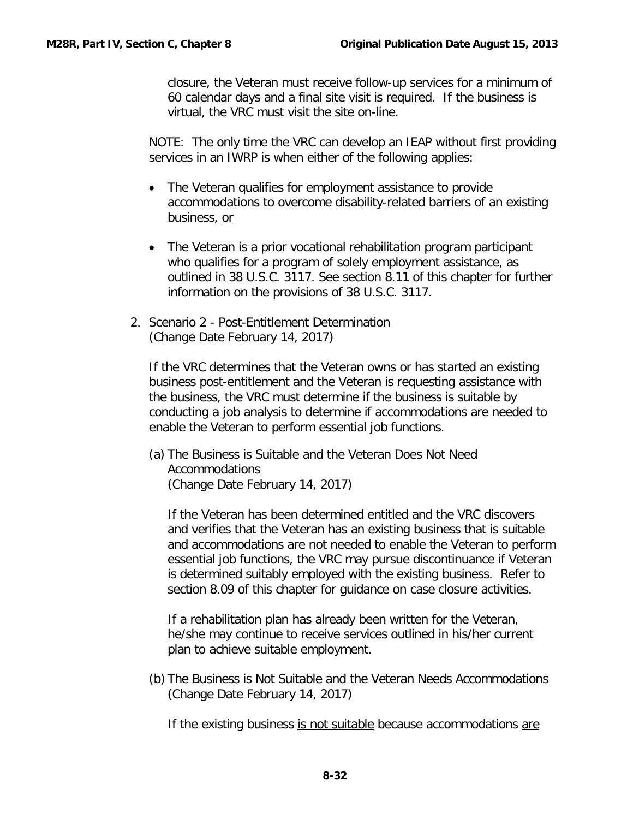closure, the Veteran must receive follow-up services for a minimum of 60 calendar days and a final site visit is required. If the business is virtual, the VRC must visit the site on-line.

NOTE: The only time the VRC can develop an IEAP without first providing services in an IWRP is when either of the following applies:

- The Veteran qualifies for employment assistance to provide accommodations to overcome disability-related barriers of an existing business, or
- The Veteran is a prior vocational rehabilitation program participant who qualifies for a program of solely employment assistance, as outlined in 38 U.S.C. 3117. See section 8.11 of this chapter for further information on the provisions of 38 U.S.C. 3117.
- 2. Scenario 2 Post-Entitlement Determination (Change Date February 14, 2017)

If the VRC determines that the Veteran owns or has started an existing business post-entitlement and the Veteran is requesting assistance with the business, the VRC must determine if the business is suitable by conducting a job analysis to determine if accommodations are needed to enable the Veteran to perform essential job functions.

(a) The Business is Suitable and the Veteran Does Not Need Accommodations (Change Date February 14, 2017)

If the Veteran has been determined entitled and the VRC discovers and verifies that the Veteran has an existing business that is suitable and accommodations are not needed to enable the Veteran to perform essential job functions, the VRC may pursue discontinuance if Veteran is determined suitably employed with the existing business. Refer to section 8.09 of this chapter for guidance on case closure activities.

If a rehabilitation plan has already been written for the Veteran, he/she may continue to receive services outlined in his/her current plan to achieve suitable employment.

(b) The Business is Not Suitable and the Veteran Needs Accommodations (Change Date February 14, 2017)

If the existing business is not suitable because accommodations are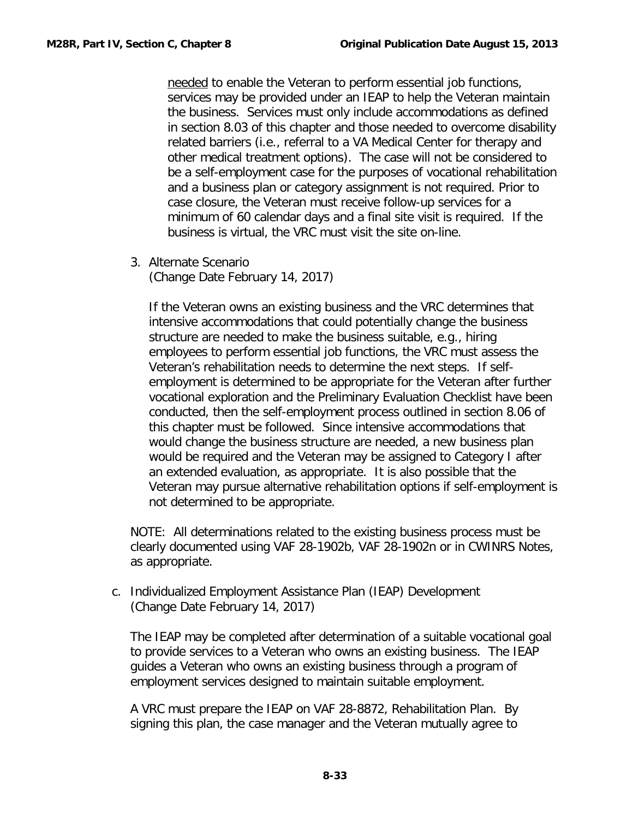needed to enable the Veteran to perform essential job functions, services may be provided under an IEAP to help the Veteran maintain the business. Services must only include accommodations as defined in section 8.03 of this chapter and those needed to overcome disability related barriers (i.e., referral to a VA Medical Center for therapy and other medical treatment options). The case will not be considered to be a self-employment case for the purposes of vocational rehabilitation and a business plan or category assignment is not required. Prior to case closure, the Veteran must receive follow-up services for a minimum of 60 calendar days and a final site visit is required. If the business is virtual, the VRC must visit the site on-line.

3. Alternate Scenario (Change Date February 14, 2017)

If the Veteran owns an existing business and the VRC determines that intensive accommodations that could potentially change the business structure are needed to make the business suitable, e.g., hiring employees to perform essential job functions, the VRC must assess the Veteran's rehabilitation needs to determine the next steps. If selfemployment is determined to be appropriate for the Veteran after further vocational exploration and the Preliminary Evaluation Checklist have been conducted, then the self-employment process outlined in section 8.06 of this chapter must be followed. Since intensive accommodations that would change the business structure are needed, a new business plan would be required and the Veteran may be assigned to Category I after an extended evaluation, as appropriate. It is also possible that the Veteran may pursue alternative rehabilitation options if self-employment is not determined to be appropriate.

NOTE: All determinations related to the existing business process must be clearly documented using VAF 28-1902b, VAF 28-1902n or in CWINRS Notes, as appropriate.

<span id="page-34-0"></span>c. Individualized Employment Assistance Plan (IEAP) Development (Change Date February 14, 2017)

The IEAP may be completed after determination of a suitable vocational goal to provide services to a Veteran who owns an existing business. The IEAP guides a Veteran who owns an existing business through a program of employment services designed to maintain suitable employment.

A VRC must prepare the IEAP on VAF 28-8872, Rehabilitation Plan. By signing this plan, the case manager and the Veteran mutually agree to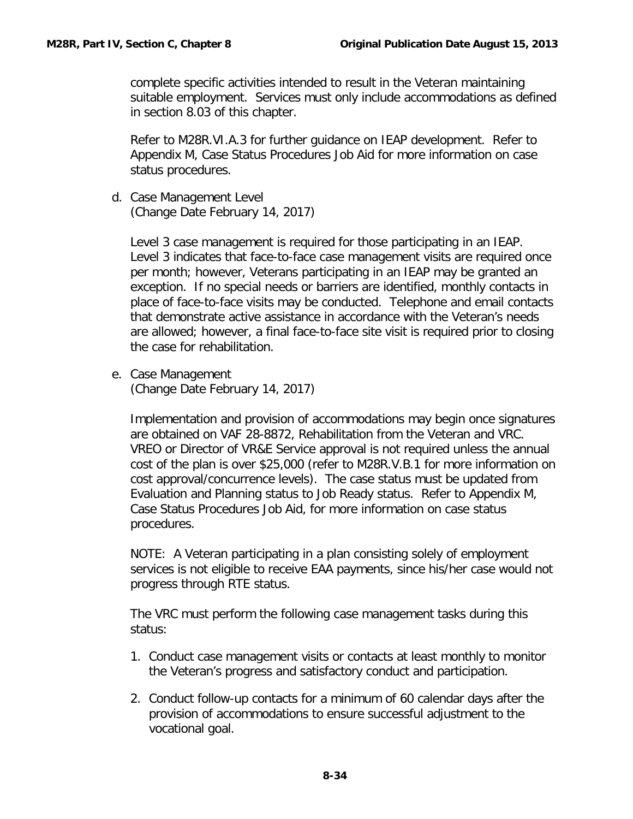complete specific activities intended to result in the Veteran maintaining suitable employment. Services must only include accommodations as defined in section 8.03 of this chapter.

Refer to M28R.VI.A.3 for further guidance on IEAP development. Refer to Appendix M, Case Status Procedures Job Aid for more information on case status procedures.

<span id="page-35-0"></span>d. Case Management Level (Change Date February 14, 2017)

Level 3 case management is required for those participating in an IEAP. Level 3 indicates that face-to-face case management visits are required once per month; however, Veterans participating in an IEAP may be granted an exception. If no special needs or barriers are identified, monthly contacts in place of face-to-face visits may be conducted. Telephone and email contacts that demonstrate active assistance in accordance with the Veteran's needs are allowed; however, a final face-to-face site visit is required prior to closing the case for rehabilitation.

<span id="page-35-1"></span>e. Case Management

(Change Date February 14, 2017)

Implementation and provision of accommodations may begin once signatures are obtained on VAF 28-8872, Rehabilitation from the Veteran and VRC. VREO or Director of VR&E Service approval is not required unless the annual cost of the plan is over \$25,000 (refer to M28R.V.B.1 for more information on cost approval/concurrence levels). The case status must be updated from Evaluation and Planning status to Job Ready status. Refer to Appendix M, Case Status Procedures Job Aid, for more information on case status procedures.

NOTE: A Veteran participating in a plan consisting solely of employment services is not eligible to receive EAA payments, since his/her case would not progress through RTE status.

The VRC must perform the following case management tasks during this status:

- 1. Conduct case management visits or contacts at least monthly to monitor the Veteran's progress and satisfactory conduct and participation.
- 2. Conduct follow-up contacts for a minimum of 60 calendar days after the provision of accommodations to ensure successful adjustment to the vocational goal.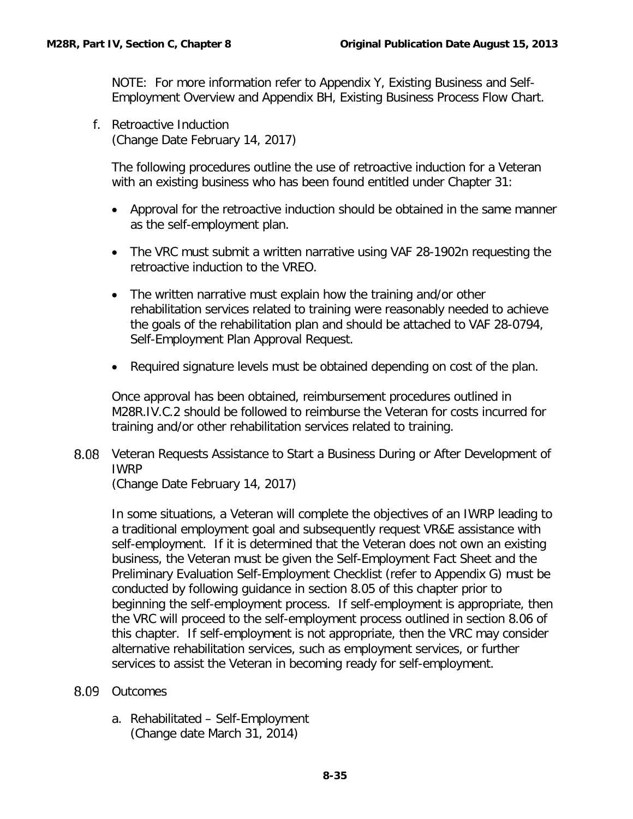NOTE: For more information refer to Appendix Y, Existing Business and Self-Employment Overview and Appendix BH, Existing Business Process Flow Chart.

<span id="page-36-0"></span>f. Retroactive Induction (Change Date February 14, 2017)

The following procedures outline the use of retroactive induction for a Veteran with an existing business who has been found entitled under Chapter 31:

- Approval for the retroactive induction should be obtained in the same manner as the self-employment plan.
- The VRC must submit a written narrative using VAF 28-1902n requesting the retroactive induction to the VREO.
- The written narrative must explain how the training and/or other rehabilitation services related to training were reasonably needed to achieve the goals of the rehabilitation plan and should be attached to VAF 28-0794, Self-Employment Plan Approval Request.
- Required signature levels must be obtained depending on cost of the plan.

Once approval has been obtained, reimbursement procedures outlined in M28R.IV.C.2 should be followed to reimburse the Veteran for costs incurred for training and/or other rehabilitation services related to training.

<span id="page-36-1"></span>8.08 Veteran Requests Assistance to Start a Business During or After Development of IWRP

(Change Date February 14, 2017)

In some situations, a Veteran will complete the objectives of an IWRP leading to a traditional employment goal and subsequently request VR&E assistance with self-employment. If it is determined that the Veteran does not own an existing business, the Veteran must be given the Self-Employment Fact Sheet and the Preliminary Evaluation Self-Employment Checklist (refer to Appendix G) must be conducted by following guidance in section 8.05 of this chapter prior to beginning the self-employment process. If self-employment is appropriate, then the VRC will proceed to the self-employment process outlined in section 8.06 of this chapter. If self-employment is not appropriate, then the VRC may consider alternative rehabilitation services, such as employment services, or further services to assist the Veteran in becoming ready for self-employment.

- <span id="page-36-3"></span><span id="page-36-2"></span>8.09 Outcomes
	- a. Rehabilitated Self-Employment (Change date March 31, 2014)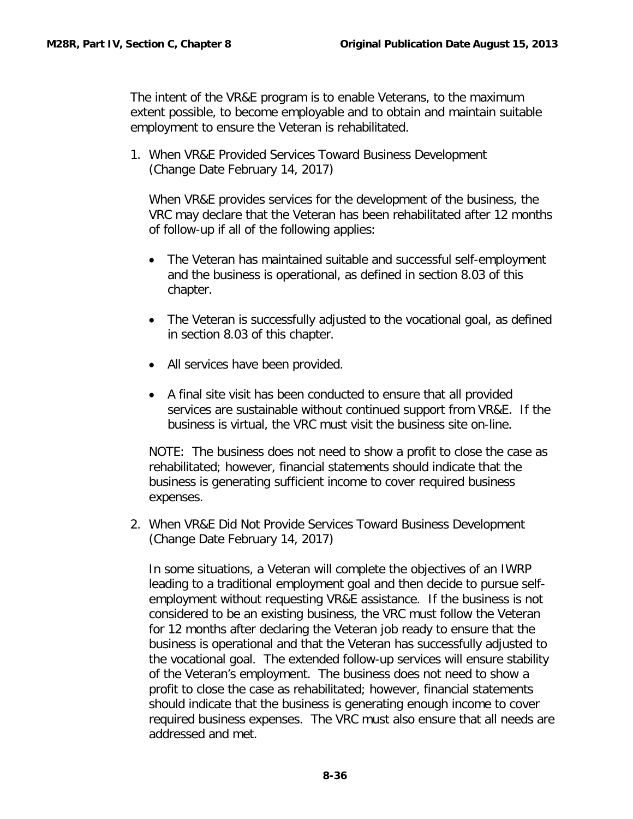The intent of the VR&E program is to enable Veterans, to the maximum extent possible, to become employable and to obtain and maintain suitable employment to ensure the Veteran is rehabilitated.

1. When VR&E Provided Services Toward Business Development (Change Date February 14, 2017)

When VR&E provides services for the development of the business, the VRC may declare that the Veteran has been rehabilitated after 12 months of follow-up if all of the following applies:

- The Veteran has maintained suitable and successful self-employment and the business is operational, as defined in section 8.03 of this chapter.
- The Veteran is successfully adjusted to the vocational goal, as defined in section 8.03 of this chapter.
- All services have been provided.
- A final site visit has been conducted to ensure that all provided services are sustainable without continued support from VR&E. If the business is virtual, the VRC must visit the business site on-line.

NOTE: The business does not need to show a profit to close the case as rehabilitated; however, financial statements should indicate that the business is generating sufficient income to cover required business expenses.

2. When VR&E Did Not Provide Services Toward Business Development (Change Date February 14, 2017)

In some situations, a Veteran will complete the objectives of an IWRP leading to a traditional employment goal and then decide to pursue selfemployment without requesting VR&E assistance. If the business is not considered to be an existing business, the VRC must follow the Veteran for 12 months after declaring the Veteran job ready to ensure that the business is operational and that the Veteran has successfully adjusted to the vocational goal. The extended follow-up services will ensure stability of the Veteran's employment. The business does not need to show a profit to close the case as rehabilitated; however, financial statements should indicate that the business is generating enough income to cover required business expenses. The VRC must also ensure that all needs are addressed and met.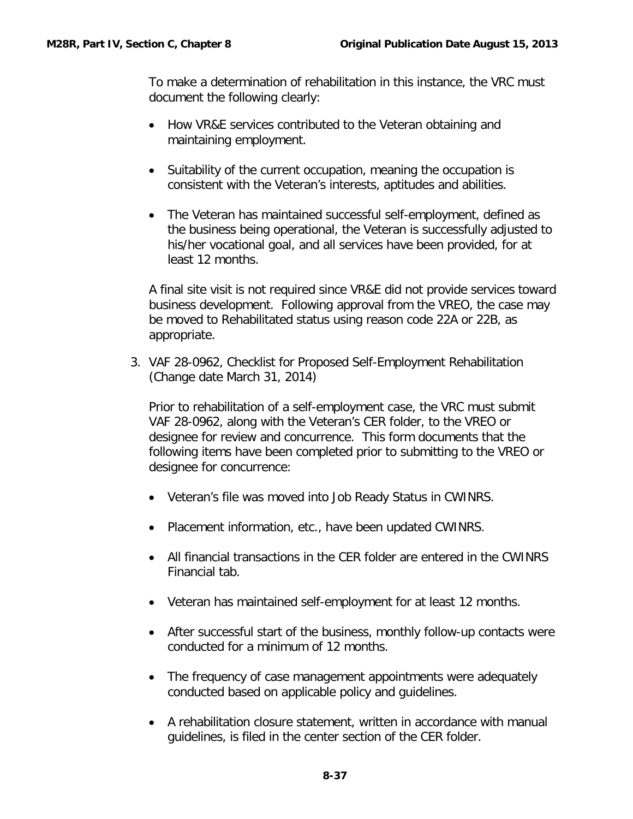To make a determination of rehabilitation in this instance, the VRC must document the following clearly:

- How VR&E services contributed to the Veteran obtaining and maintaining employment.
- Suitability of the current occupation, meaning the occupation is consistent with the Veteran's interests, aptitudes and abilities.
- The Veteran has maintained successful self-employment, defined as the business being operational, the Veteran is successfully adjusted to his/her vocational goal, and all services have been provided, for at least 12 months.

A final site visit is not required since VR&E did not provide services toward business development. Following approval from the VREO, the case may be moved to Rehabilitated status using reason code 22A or 22B, as appropriate.

3. VAF 28-0962, Checklist for Proposed Self-Employment Rehabilitation (Change date March 31, 2014)

Prior to rehabilitation of a self-employment case, the VRC must submit VAF 28-0962, along with the Veteran's CER folder, to the VREO or designee for review and concurrence. This form documents that the following items have been completed prior to submitting to the VREO or designee for concurrence:

- Veteran's file was moved into Job Ready Status in CWINRS.
- Placement information, etc., have been updated CWINRS.
- All financial transactions in the CER folder are entered in the CWINRS Financial tab.
- Veteran has maintained self-employment for at least 12 months.
- After successful start of the business, monthly follow-up contacts were conducted for a minimum of 12 months.
- The frequency of case management appointments were adequately conducted based on applicable policy and guidelines.
- A rehabilitation closure statement, written in accordance with manual guidelines, is filed in the center section of the CER folder.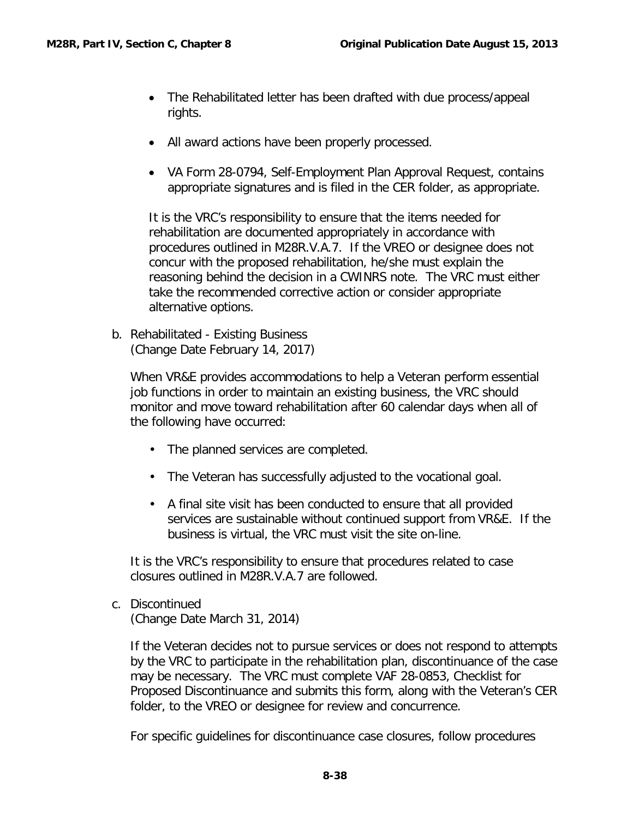- The Rehabilitated letter has been drafted with due process/appeal rights.
- All award actions have been properly processed.
- VA Form 28-0794, Self-Employment Plan Approval Request, contains appropriate signatures and is filed in the CER folder, as appropriate.

It is the VRC's responsibility to ensure that the items needed for rehabilitation are documented appropriately in accordance with procedures outlined in M28R.V.A.7. If the VREO or designee does not concur with the proposed rehabilitation, he/she must explain the reasoning behind the decision in a CWINRS note. The VRC must either take the recommended corrective action or consider appropriate alternative options.

<span id="page-39-0"></span>b. Rehabilitated - Existing Business (Change Date February 14, 2017)

When VR&E provides accommodations to help a Veteran perform essential job functions in order to maintain an existing business, the VRC should monitor and move toward rehabilitation after 60 calendar days when all of the following have occurred:

- The planned services are completed.
- The Veteran has successfully adjusted to the vocational goal.
- A final site visit has been conducted to ensure that all provided services are sustainable without continued support from VR&E. If the business is virtual, the VRC must visit the site on-line.

It is the VRC's responsibility to ensure that procedures related to case closures outlined in M28R.V.A.7 are followed.

<span id="page-39-1"></span>c. Discontinued

(Change Date March 31, 2014)

If the Veteran decides not to pursue services or does not respond to attempts by the VRC to participate in the rehabilitation plan, discontinuance of the case may be necessary. The VRC must complete VAF 28-0853, Checklist for Proposed Discontinuance and submits this form, along with the Veteran's CER folder, to the VREO or designee for review and concurrence.

For specific guidelines for discontinuance case closures, follow procedures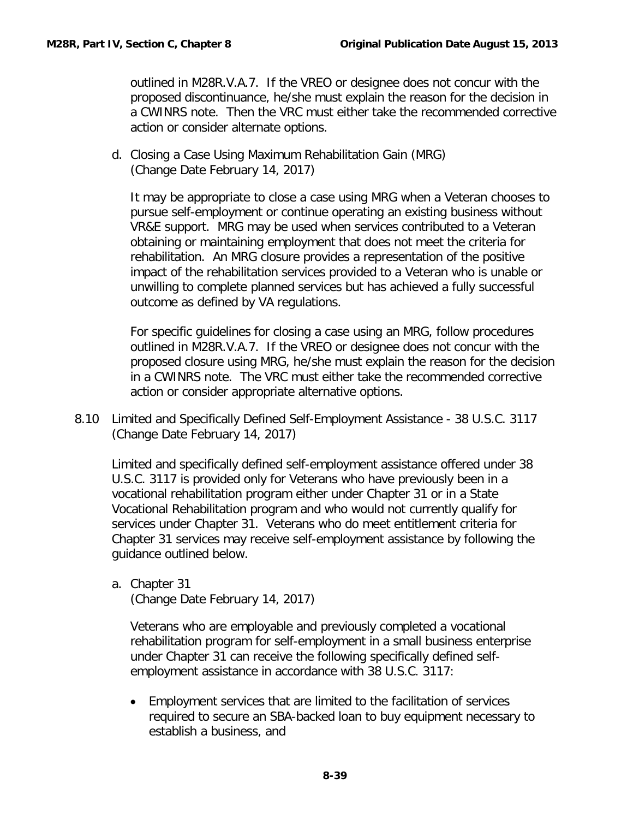outlined in M28R.V.A.7. If the VREO or designee does not concur with the proposed discontinuance, he/she must explain the reason for the decision in a CWINRS note. Then the VRC must either take the recommended corrective action or consider alternate options.

<span id="page-40-0"></span>d. Closing a Case Using Maximum Rehabilitation Gain (MRG) (Change Date February 14, 2017)

It may be appropriate to close a case using MRG when a Veteran chooses to pursue self-employment or continue operating an existing business without VR&E support. MRG may be used when services contributed to a Veteran obtaining or maintaining employment that does not meet the criteria for rehabilitation. An MRG closure provides a representation of the positive impact of the rehabilitation services provided to a Veteran who is unable or unwilling to complete planned services but has achieved a fully successful outcome as defined by VA regulations.

For specific guidelines for closing a case using an MRG, follow procedures outlined in M28R.V.A.7. If the VREO or designee does not concur with the proposed closure using MRG, he/she must explain the reason for the decision in a CWINRS note. The VRC must either take the recommended corrective action or consider appropriate alternative options.

<span id="page-40-1"></span>8.10 Limited and Specifically Defined Self-Employment Assistance - 38 U.S.C. 3117 (Change Date February 14, 2017)

Limited and specifically defined self-employment assistance offered under 38 U.S.C. 3117 is provided only for Veterans who have previously been in a vocational rehabilitation program either under Chapter 31 or in a State Vocational Rehabilitation program and who would not currently qualify for services under Chapter 31. Veterans who do meet entitlement criteria for Chapter 31 services may receive self-employment assistance by following the guidance outlined below.

<span id="page-40-2"></span>a. Chapter 31 (Change Date February 14, 2017)

Veterans who are employable and previously completed a vocational rehabilitation program for self-employment in a small business enterprise under Chapter 31 can receive the following specifically defined selfemployment assistance in accordance with 38 U.S.C. 3117:

• Employment services that are limited to the facilitation of services required to secure an SBA-backed loan to buy equipment necessary to establish a business, and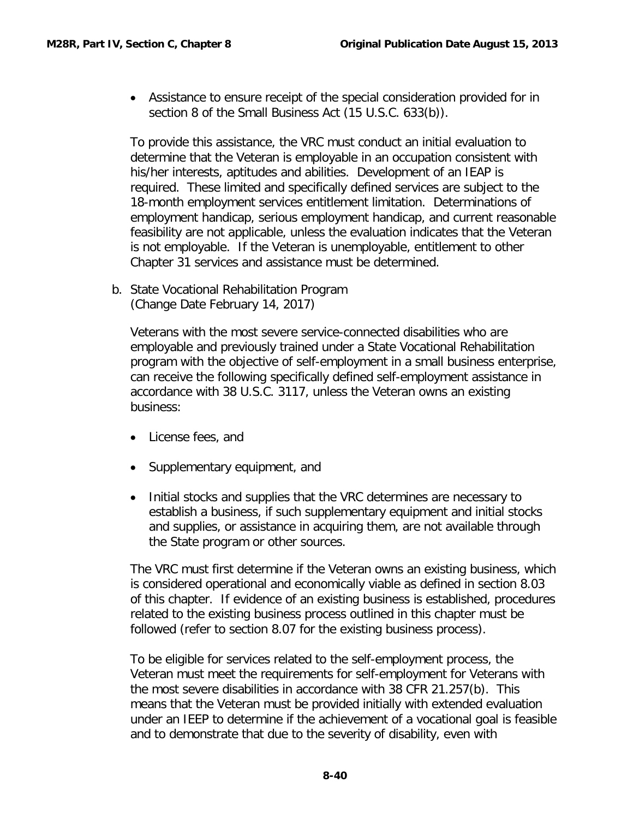• Assistance to ensure receipt of the special consideration provided for in section 8 of the Small Business Act (15 U.S.C. 633(b)).

To provide this assistance, the VRC must conduct an initial evaluation to determine that the Veteran is employable in an occupation consistent with his/her interests, aptitudes and abilities. Development of an IEAP is required. These limited and specifically defined services are subject to the 18-month employment services entitlement limitation. Determinations of employment handicap, serious employment handicap, and current reasonable feasibility are not applicable, unless the evaluation indicates that the Veteran is not employable. If the Veteran is unemployable, entitlement to other Chapter 31 services and assistance must be determined.

<span id="page-41-0"></span>b. State Vocational Rehabilitation Program (Change Date February 14, 2017)

Veterans with the most severe service-connected disabilities who are employable and previously trained under a State Vocational Rehabilitation program with the objective of self-employment in a small business enterprise, can receive the following specifically defined self-employment assistance in accordance with 38 U.S.C. 3117, unless the Veteran owns an existing business:

- License fees, and
- Supplementary equipment, and
- Initial stocks and supplies that the VRC determines are necessary to establish a business, if such supplementary equipment and initial stocks and supplies, or assistance in acquiring them, are not available through the State program or other sources.

The VRC must first determine if the Veteran owns an existing business, which is considered operational and economically viable as defined in section 8.03 of this chapter. If evidence of an existing business is established, procedures related to the existing business process outlined in this chapter must be followed (refer to section 8.07 for the existing business process).

To be eligible for services related to the self-employment process, the Veteran must meet the requirements for self-employment for Veterans with the most severe disabilities in accordance with 38 CFR 21.257(b). This means that the Veteran must be provided initially with extended evaluation under an IEEP to determine if the achievement of a vocational goal is feasible and to demonstrate that due to the severity of disability, even with